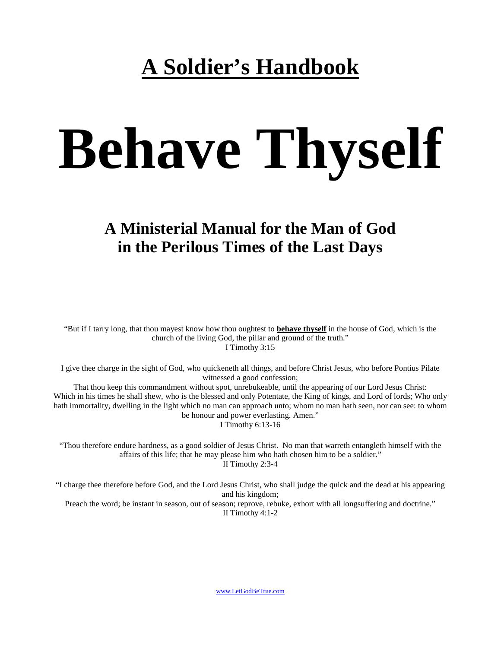# **A Soldier's Handbook**

# **Behave Thyself**

# **A Ministerial Manual for the Man of God in the Perilous Times of the Last Days**

"But if I tarry long, that thou mayest know how thou oughtest to **behave thyself** in the house of God, which is the church of the living God, the pillar and ground of the truth." I Timothy 3:15

I give thee charge in the sight of God, who quickeneth all things, and before Christ Jesus, who before Pontius Pilate witnessed a good confession;

That thou keep this commandment without spot, unrebukeable, until the appearing of our Lord Jesus Christ: Which in his times he shall shew, who is the blessed and only Potentate, the King of kings, and Lord of lords; Who only hath immortality, dwelling in the light which no man can approach unto; whom no man hath seen, nor can see: to whom be honour and power everlasting. Amen." I Timothy 6:13-16

"Thou therefore endure hardness, as a good soldier of Jesus Christ. No man that warreth entangleth himself with the affairs of this life; that he may please him who hath chosen him to be a soldier." II Timothy 2:3-4

"I charge thee therefore before God, and the Lord Jesus Christ, who shall judge the quick and the dead at his appearing and his kingdom;

Preach the word; be instant in season, out of season; reprove, rebuke, exhort with all longsuffering and doctrine." II Timothy 4:1-2

[www.LetGodBeTrue.com](http://www.letgodbetrue.com/)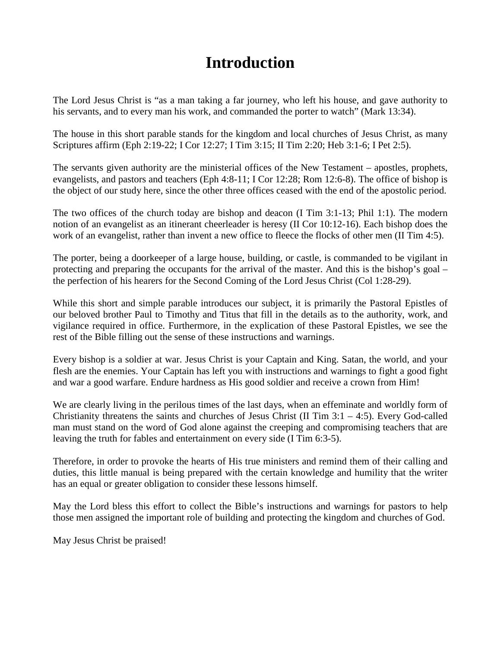# **Introduction**

The Lord Jesus Christ is "as a man taking a far journey, who left his house, and gave authority to his servants, and to every man his work, and commanded the porter to watch" (Mark 13:34).

The house in this short parable stands for the kingdom and local churches of Jesus Christ, as many Scriptures affirm (Eph 2:19-22; I Cor 12:27; I Tim 3:15; II Tim 2:20; Heb 3:1-6; I Pet 2:5).

The servants given authority are the ministerial offices of the New Testament – apostles, prophets, evangelists, and pastors and teachers (Eph 4:8-11; I Cor 12:28; Rom 12:6-8). The office of bishop is the object of our study here, since the other three offices ceased with the end of the apostolic period.

The two offices of the church today are bishop and deacon (I Tim 3:1-13; Phil 1:1). The modern notion of an evangelist as an itinerant cheerleader is heresy (II Cor 10:12-16). Each bishop does the work of an evangelist, rather than invent a new office to fleece the flocks of other men (II Tim 4:5).

The porter, being a doorkeeper of a large house, building, or castle, is commanded to be vigilant in protecting and preparing the occupants for the arrival of the master. And this is the bishop's goal – the perfection of his hearers for the Second Coming of the Lord Jesus Christ (Col 1:28-29).

While this short and simple parable introduces our subject, it is primarily the Pastoral Epistles of our beloved brother Paul to Timothy and Titus that fill in the details as to the authority, work, and vigilance required in office. Furthermore, in the explication of these Pastoral Epistles, we see the rest of the Bible filling out the sense of these instructions and warnings.

Every bishop is a soldier at war. Jesus Christ is your Captain and King. Satan, the world, and your flesh are the enemies. Your Captain has left you with instructions and warnings to fight a good fight and war a good warfare. Endure hardness as His good soldier and receive a crown from Him!

We are clearly living in the perilous times of the last days, when an effeminate and worldly form of Christianity threatens the saints and churches of Jesus Christ (II Tim  $3:1 - 4:5$ ). Every God-called man must stand on the word of God alone against the creeping and compromising teachers that are leaving the truth for fables and entertainment on every side (I Tim 6:3-5).

Therefore, in order to provoke the hearts of His true ministers and remind them of their calling and duties, this little manual is being prepared with the certain knowledge and humility that the writer has an equal or greater obligation to consider these lessons himself.

May the Lord bless this effort to collect the Bible's instructions and warnings for pastors to help those men assigned the important role of building and protecting the kingdom and churches of God.

May Jesus Christ be praised!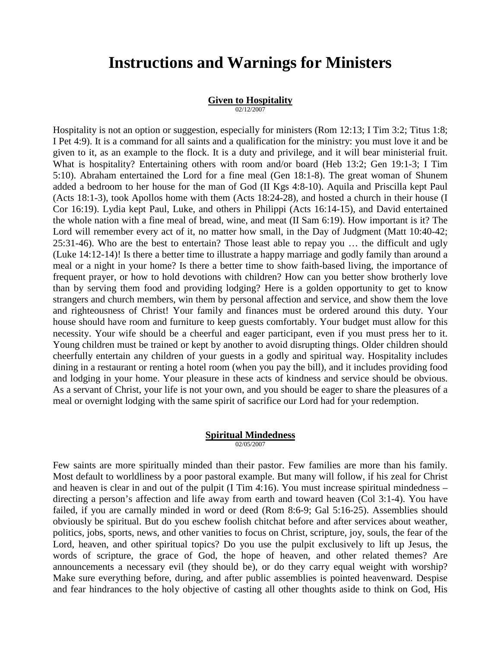# **Instructions and Warnings for Ministers**

# **Given to Hospitality**

02/12/2007

Hospitality is not an option or suggestion, especially for ministers (Rom 12:13; I Tim 3:2; Titus 1:8; I Pet 4:9). It is a command for all saints and a qualification for the ministry: you must love it and be given to it, as an example to the flock. It is a duty and privilege, and it will bear ministerial fruit. What is hospitality? Entertaining others with room and/or board (Heb 13:2; Gen 19:1-3; I Tim 5:10). Abraham entertained the Lord for a fine meal (Gen 18:1-8). The great woman of Shunem added a bedroom to her house for the man of God (II Kgs 4:8-10). Aquila and Priscilla kept Paul (Acts 18:1-3), took Apollos home with them (Acts 18:24-28), and hosted a church in their house (I Cor 16:19). Lydia kept Paul, Luke, and others in Philippi (Acts 16:14-15), and David entertained the whole nation with a fine meal of bread, wine, and meat (II Sam 6:19). How important is it? The Lord will remember every act of it, no matter how small, in the Day of Judgment (Matt 10:40-42; 25:31-46). Who are the best to entertain? Those least able to repay you … the difficult and ugly (Luke 14:12-14)! Is there a better time to illustrate a happy marriage and godly family than around a meal or a night in your home? Is there a better time to show faith-based living, the importance of frequent prayer, or how to hold devotions with children? How can you better show brotherly love than by serving them food and providing lodging? Here is a golden opportunity to get to know strangers and church members, win them by personal affection and service, and show them the love and righteousness of Christ! Your family and finances must be ordered around this duty. Your house should have room and furniture to keep guests comfortably. Your budget must allow for this necessity. Your wife should be a cheerful and eager participant, even if you must press her to it. Young children must be trained or kept by another to avoid disrupting things. Older children should cheerfully entertain any children of your guests in a godly and spiritual way. Hospitality includes dining in a restaurant or renting a hotel room (when you pay the bill), and it includes providing food and lodging in your home. Your pleasure in these acts of kindness and service should be obvious. As a servant of Christ, your life is not your own, and you should be eager to share the pleasures of a meal or overnight lodging with the same spirit of sacrifice our Lord had for your redemption.

# **Spiritual Mindedness**

02/05/2007

Few saints are more spiritually minded than their pastor. Few families are more than his family. Most default to worldliness by a poor pastoral example. But many will follow, if his zeal for Christ and heaven is clear in and out of the pulpit (I Tim 4:16). You must increase spiritual mindedness – directing a person's affection and life away from earth and toward heaven (Col 3:1-4). You have failed, if you are carnally minded in word or deed (Rom 8:6-9; Gal 5:16-25). Assemblies should obviously be spiritual. But do you eschew foolish chitchat before and after services about weather, politics, jobs, sports, news, and other vanities to focus on Christ, scripture, joy, souls, the fear of the Lord, heaven, and other spiritual topics? Do you use the pulpit exclusively to lift up Jesus, the words of scripture, the grace of God, the hope of heaven, and other related themes? Are announcements a necessary evil (they should be), or do they carry equal weight with worship? Make sure everything before, during, and after public assemblies is pointed heavenward. Despise and fear hindrances to the holy objective of casting all other thoughts aside to think on God, His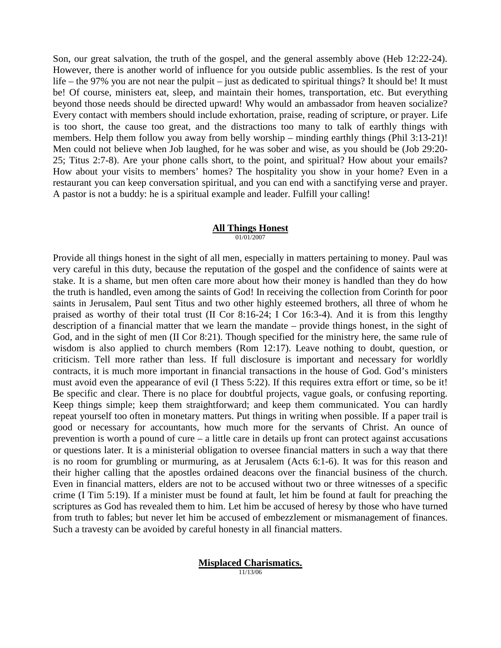Son, our great salvation, the truth of the gospel, and the general assembly above (Heb 12:22-24). However, there is another world of influence for you outside public assemblies. Is the rest of your life – the 97% you are not near the pulpit – just as dedicated to spiritual things? It should be! It must be! Of course, ministers eat, sleep, and maintain their homes, transportation, etc. But everything beyond those needs should be directed upward! Why would an ambassador from heaven socialize? Every contact with members should include exhortation, praise, reading of scripture, or prayer. Life is too short, the cause too great, and the distractions too many to talk of earthly things with members. Help them follow you away from belly worship – minding earthly things (Phil 3:13-21)! Men could not believe when Job laughed, for he was sober and wise, as you should be (Job 29:20- 25; Titus 2:7-8). Are your phone calls short, to the point, and spiritual? How about your emails? How about your visits to members' homes? The hospitality you show in your home? Even in a restaurant you can keep conversation spiritual, and you can end with a sanctifying verse and prayer. A pastor is not a buddy: he is a spiritual example and leader. Fulfill your calling!

#### **All Things Honest** 01/01/2007

Provide all things honest in the sight of all men, especially in matters pertaining to money. Paul was very careful in this duty, because the reputation of the gospel and the confidence of saints were at stake. It is a shame, but men often care more about how their money is handled than they do how the truth is handled, even among the saints of God! In receiving the collection from Corinth for poor saints in Jerusalem, Paul sent Titus and two other highly esteemed brothers, all three of whom he praised as worthy of their total trust (II Cor 8:16-24; I Cor 16:3-4). And it is from this lengthy description of a financial matter that we learn the mandate – provide things honest, in the sight of God, and in the sight of men (II Cor 8:21). Though specified for the ministry here, the same rule of wisdom is also applied to church members (Rom 12:17). Leave nothing to doubt, question, or criticism. Tell more rather than less. If full disclosure is important and necessary for worldly contracts, it is much more important in financial transactions in the house of God. God's ministers must avoid even the appearance of evil (I Thess 5:22). If this requires extra effort or time, so be it! Be specific and clear. There is no place for doubtful projects, vague goals, or confusing reporting. Keep things simple; keep them straightforward; and keep them communicated. You can hardly repeat yourself too often in monetary matters. Put things in writing when possible. If a paper trail is good or necessary for accountants, how much more for the servants of Christ. An ounce of prevention is worth a pound of cure – a little care in details up front can protect against accusations or questions later. It is a ministerial obligation to oversee financial matters in such a way that there is no room for grumbling or murmuring, as at Jerusalem (Acts 6:1-6). It was for this reason and their higher calling that the apostles ordained deacons over the financial business of the church. Even in financial matters, elders are not to be accused without two or three witnesses of a specific crime (I Tim 5:19). If a minister must be found at fault, let him be found at fault for preaching the scriptures as God has revealed them to him. Let him be accused of heresy by those who have turned from truth to fables; but never let him be accused of embezzlement or mismanagement of finances. Such a travesty can be avoided by careful honesty in all financial matters.

> **Misplaced Charismatics.** 11/13/06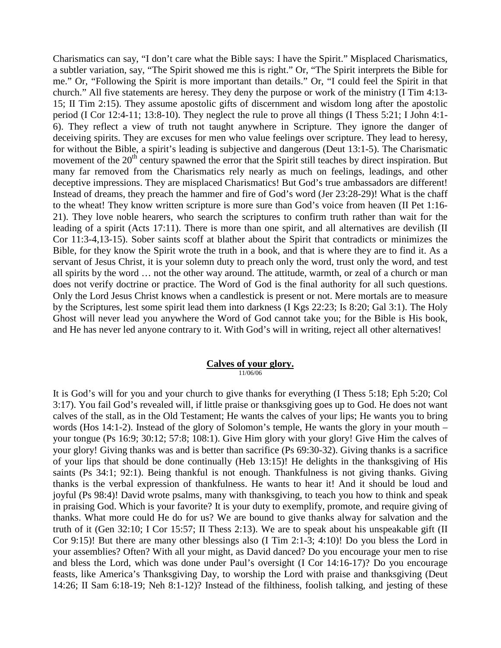Charismatics can say, "I don't care what the Bible says: I have the Spirit." Misplaced Charismatics, a subtler variation, say, "The Spirit showed me this is right." Or, "The Spirit interprets the Bible for me." Or, "Following the Spirit is more important than details." Or, "I could feel the Spirit in that church." All five statements are heresy. They deny the purpose or work of the ministry (I Tim 4:13- 15; II Tim 2:15). They assume apostolic gifts of discernment and wisdom long after the apostolic period (I Cor 12:4-11; 13:8-10). They neglect the rule to prove all things (I Thess 5:21; I John 4:1- 6). They reflect a view of truth not taught anywhere in Scripture. They ignore the danger of deceiving spirits. They are excuses for men who value feelings over scripture. They lead to heresy, for without the Bible, a spirit's leading is subjective and dangerous (Deut 13:1-5). The Charismatic movement of the 20<sup>th</sup> century spawned the error that the Spirit still teaches by direct inspiration. But many far removed from the Charismatics rely nearly as much on feelings, leadings, and other deceptive impressions. They are misplaced Charismatics! But God's true ambassadors are different! Instead of dreams, they preach the hammer and fire of God's word (Jer 23:28-29)! What is the chaff to the wheat! They know written scripture is more sure than God's voice from heaven (II Pet 1:16- 21). They love noble hearers, who search the scriptures to confirm truth rather than wait for the leading of a spirit (Acts 17:11). There is more than one spirit, and all alternatives are devilish (II Cor 11:3-4,13-15). Sober saints scoff at blather about the Spirit that contradicts or minimizes the Bible, for they know the Spirit wrote the truth in a book, and that is where they are to find it. As a servant of Jesus Christ, it is your solemn duty to preach only the word, trust only the word, and test all spirits by the word … not the other way around. The attitude, warmth, or zeal of a church or man does not verify doctrine or practice. The Word of God is the final authority for all such questions. Only the Lord Jesus Christ knows when a candlestick is present or not. Mere mortals are to measure by the Scriptures, lest some spirit lead them into darkness (I Kgs 22:23; Is 8:20; Gal 3:1). The Holy Ghost will never lead you anywhere the Word of God cannot take you; for the Bible is His book, and He has never led anyone contrary to it. With God's will in writing, reject all other alternatives!

#### **Calves of your glory.** 11/06/06

It is God's will for you and your church to give thanks for everything (I Thess 5:18; Eph 5:20; Col 3:17). You fail God's revealed will, if little praise or thanksgiving goes up to God. He does not want calves of the stall, as in the Old Testament; He wants the calves of your lips; He wants you to bring words (Hos 14:1-2). Instead of the glory of Solomon's temple, He wants the glory in your mouth – your tongue (Ps 16:9; 30:12; 57:8; 108:1). Give Him glory with your glory! Give Him the calves of your glory! Giving thanks was and is better than sacrifice (Ps 69:30-32). Giving thanks is a sacrifice of your lips that should be done continually (Heb 13:15)! He delights in the thanksgiving of His saints (Ps 34:1; 92:1). Being thankful is not enough. Thankfulness is not giving thanks. Giving thanks is the verbal expression of thankfulness. He wants to hear it! And it should be loud and joyful (Ps 98:4)! David wrote psalms, many with thanksgiving, to teach you how to think and speak in praising God. Which is your favorite? It is your duty to exemplify, promote, and require giving of thanks. What more could He do for us? We are bound to give thanks alway for salvation and the truth of it (Gen 32:10; I Cor 15:57; II Thess 2:13). We are to speak about his unspeakable gift (II Cor 9:15)! But there are many other blessings also (I Tim 2:1-3; 4:10)! Do you bless the Lord in your assemblies? Often? With all your might, as David danced? Do you encourage your men to rise and bless the Lord, which was done under Paul's oversight (I Cor 14:16-17)? Do you encourage feasts, like America's Thanksgiving Day, to worship the Lord with praise and thanksgiving (Deut 14:26; II Sam 6:18-19; Neh 8:1-12)? Instead of the filthiness, foolish talking, and jesting of these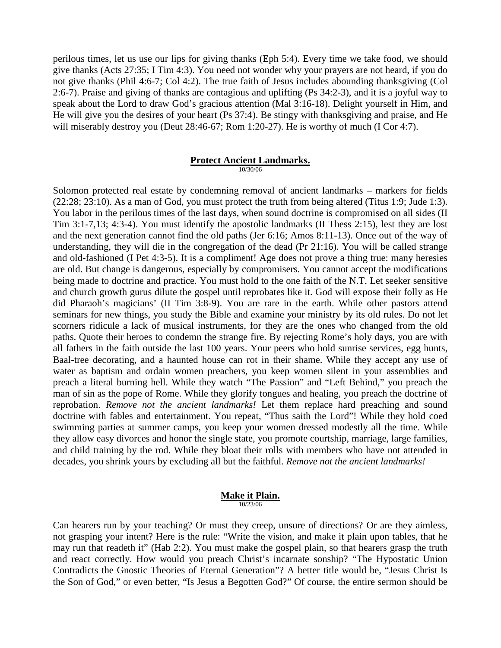perilous times, let us use our lips for giving thanks (Eph 5:4). Every time we take food, we should give thanks (Acts 27:35; I Tim 4:3). You need not wonder why your prayers are not heard, if you do not give thanks (Phil 4:6-7; Col 4:2). The true faith of Jesus includes abounding thanksgiving (Col 2:6-7). Praise and giving of thanks are contagious and uplifting (Ps 34:2-3), and it is a joyful way to speak about the Lord to draw God's gracious attention (Mal 3:16-18). Delight yourself in Him, and He will give you the desires of your heart (Ps 37:4). Be stingy with thanksgiving and praise, and He will miserably destroy you (Deut 28:46-67; Rom 1:20-27). He is worthy of much (I Cor 4:7).

# **Protect Ancient Landmarks.**

10/30/06

Solomon protected real estate by condemning removal of ancient landmarks – markers for fields (22:28; 23:10). As a man of God, you must protect the truth from being altered (Titus 1:9; Jude 1:3). You labor in the perilous times of the last days, when sound doctrine is compromised on all sides (II Tim 3:1-7,13; 4:3-4). You must identify the apostolic landmarks (II Thess 2:15), lest they are lost and the next generation cannot find the old paths (Jer 6:16; Amos 8:11-13). Once out of the way of understanding, they will die in the congregation of the dead (Pr 21:16). You will be called strange and old-fashioned (I Pet 4:3-5). It is a compliment! Age does not prove a thing true: many heresies are old. But change is dangerous, especially by compromisers. You cannot accept the modifications being made to doctrine and practice. You must hold to the one faith of the N.T. Let seeker sensitive and church growth gurus dilute the gospel until reprobates like it. God will expose their folly as He did Pharaoh's magicians' (II Tim 3:8-9). You are rare in the earth. While other pastors attend seminars for new things, you study the Bible and examine your ministry by its old rules. Do not let scorners ridicule a lack of musical instruments, for they are the ones who changed from the old paths. Quote their heroes to condemn the strange fire. By rejecting Rome's holy days, you are with all fathers in the faith outside the last 100 years. Your peers who hold sunrise services, egg hunts, Baal-tree decorating, and a haunted house can rot in their shame. While they accept any use of water as baptism and ordain women preachers, you keep women silent in your assemblies and preach a literal burning hell. While they watch "The Passion" and "Left Behind," you preach the man of sin as the pope of Rome. While they glorify tongues and healing, you preach the doctrine of reprobation. *Remove not the ancient landmarks!* Let them replace hard preaching and sound doctrine with fables and entertainment. You repeat, "Thus saith the Lord"! While they hold coed swimming parties at summer camps, you keep your women dressed modestly all the time. While they allow easy divorces and honor the single state, you promote courtship, marriage, large families, and child training by the rod. While they bloat their rolls with members who have not attended in decades, you shrink yours by excluding all but the faithful. *Remove not the ancient landmarks!*

#### **Make it Plain.** 10/23/06

Can hearers run by your teaching? Or must they creep, unsure of directions? Or are they aimless, not grasping your intent? Here is the rule: "Write the vision, and make it plain upon tables, that he may run that readeth it" (Hab 2:2). You must make the gospel plain, so that hearers grasp the truth and react correctly. How would you preach Christ's incarnate sonship? "The Hypostatic Union Contradicts the Gnostic Theories of Eternal Generation"? A better title would be, "Jesus Christ Is the Son of God," or even better, "Is Jesus a Begotten God?" Of course, the entire sermon should be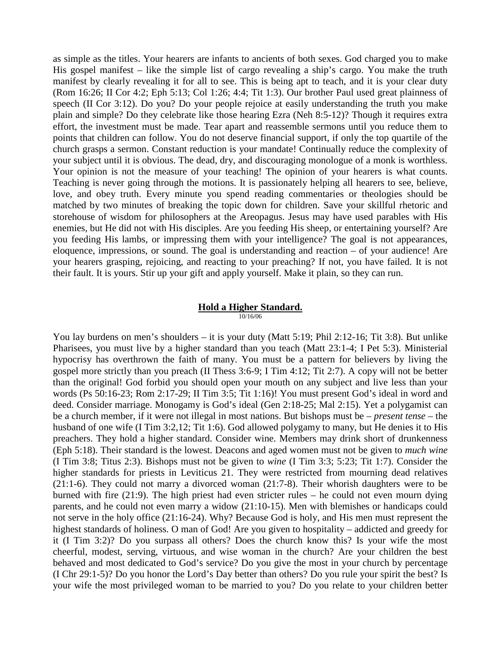as simple as the titles. Your hearers are infants to ancients of both sexes. God charged you to make His gospel manifest – like the simple list of cargo revealing a ship's cargo. You make the truth manifest by clearly revealing it for all to see. This is being apt to teach, and it is your clear duty (Rom 16:26; II Cor 4:2; Eph 5:13; Col 1:26; 4:4; Tit 1:3). Our brother Paul used great plainness of speech (II Cor 3:12). Do you? Do your people rejoice at easily understanding the truth you make plain and simple? Do they celebrate like those hearing Ezra (Neh 8:5-12)? Though it requires extra effort, the investment must be made. Tear apart and reassemble sermons until you reduce them to points that children can follow. You do not deserve financial support, if only the top quartile of the church grasps a sermon. Constant reduction is your mandate! Continually reduce the complexity of your subject until it is obvious. The dead, dry, and discouraging monologue of a monk is worthless. Your opinion is not the measure of your teaching! The opinion of your hearers is what counts. Teaching is never going through the motions. It is passionately helping all hearers to see, believe, love, and obey truth. Every minute you spend reading commentaries or theologies should be matched by two minutes of breaking the topic down for children. Save your skillful rhetoric and storehouse of wisdom for philosophers at the Areopagus. Jesus may have used parables with His enemies, but He did not with His disciples. Are you feeding His sheep, or entertaining yourself? Are you feeding His lambs, or impressing them with your intelligence? The goal is not appearances, eloquence, impressions, or sound. The goal is understanding and reaction – of your audience! Are your hearers grasping, rejoicing, and reacting to your preaching? If not, you have failed. It is not their fault. It is yours. Stir up your gift and apply yourself. Make it plain, so they can run.

# **Hold a Higher Standard.**

10/16/06

You lay burdens on men's shoulders – it is your duty (Matt 5:19; Phil 2:12-16; Tit 3:8). But unlike Pharisees, you must live by a higher standard than you teach (Matt 23:1-4; I Pet 5:3). Ministerial hypocrisy has overthrown the faith of many. You must be a pattern for believers by living the gospel more strictly than you preach (II Thess 3:6-9; I Tim 4:12; Tit 2:7). A copy will not be better than the original! God forbid you should open your mouth on any subject and live less than your words (Ps 50:16-23; Rom 2:17-29; II Tim 3:5; Tit 1:16)! You must present God's ideal in word and deed. Consider marriage. Monogamy is God's ideal (Gen 2:18-25; Mal 2:15). Yet a polygamist can be a church member, if it were not illegal in most nations. But bishops must be – *present tense* – the husband of one wife (I Tim 3:2,12; Tit 1:6). God allowed polygamy to many, but He denies it to His preachers. They hold a higher standard. Consider wine. Members may drink short of drunkenness (Eph 5:18). Their standard is the lowest. Deacons and aged women must not be given to *much wine* (I Tim 3:8; Titus 2:3). Bishops must not be given to *wine* (I Tim 3:3; 5:23; Tit 1:7). Consider the higher standards for priests in Leviticus 21. They were restricted from mourning dead relatives (21:1-6). They could not marry a divorced woman (21:7-8). Their whorish daughters were to be burned with fire (21:9). The high priest had even stricter rules – he could not even mourn dying parents, and he could not even marry a widow (21:10-15). Men with blemishes or handicaps could not serve in the holy office (21:16-24). Why? Because God is holy, and His men must represent the highest standards of holiness. O man of God! Are you given to hospitality – addicted and greedy for it (I Tim 3:2)? Do you surpass all others? Does the church know this? Is your wife the most cheerful, modest, serving, virtuous, and wise woman in the church? Are your children the best behaved and most dedicated to God's service? Do you give the most in your church by percentage (I Chr 29:1-5)? Do you honor the Lord's Day better than others? Do you rule your spirit the best? Is your wife the most privileged woman to be married to you? Do you relate to your children better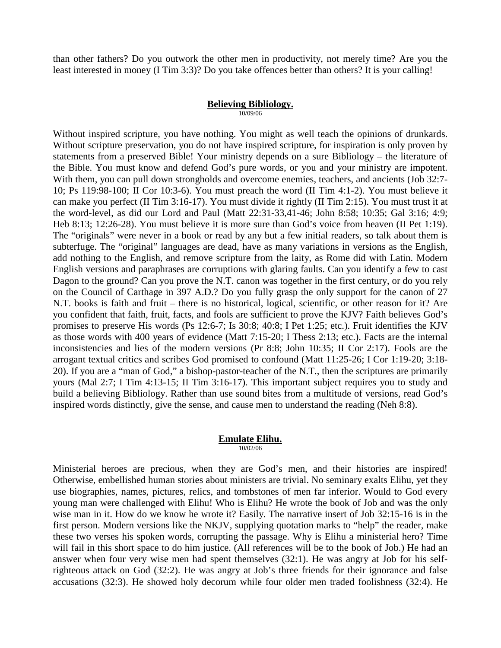than other fathers? Do you outwork the other men in productivity, not merely time? Are you the least interested in money (I Tim 3:3)? Do you take offences better than others? It is your calling!

#### **Believing Bibliology.**

10/09/06

Without inspired scripture, you have nothing. You might as well teach the opinions of drunkards. Without scripture preservation, you do not have inspired scripture, for inspiration is only proven by statements from a preserved Bible! Your ministry depends on a sure Bibliology – the literature of the Bible. You must know and defend God's pure words, or you and your ministry are impotent. With them, you can pull down strongholds and overcome enemies, teachers, and ancients (Job 32:7- 10; Ps 119:98-100; II Cor 10:3-6). You must preach the word (II Tim 4:1-2). You must believe it can make you perfect (II Tim 3:16-17). You must divide it rightly (II Tim 2:15). You must trust it at the word-level, as did our Lord and Paul (Matt 22:31-33,41-46; John 8:58; 10:35; Gal 3:16; 4:9; Heb 8:13; 12:26-28). You must believe it is more sure than God's voice from heaven (II Pet 1:19). The "originals" were never in a book or read by any but a few initial readers, so talk about them is subterfuge. The "original" languages are dead, have as many variations in versions as the English, add nothing to the English, and remove scripture from the laity, as Rome did with Latin. Modern English versions and paraphrases are corruptions with glaring faults. Can you identify a few to cast Dagon to the ground? Can you prove the N.T. canon was together in the first century, or do you rely on the Council of Carthage in 397 A.D.? Do you fully grasp the only support for the canon of 27 N.T. books is faith and fruit – there is no historical, logical, scientific, or other reason for it? Are you confident that faith, fruit, facts, and fools are sufficient to prove the KJV? Faith believes God's promises to preserve His words (Ps 12:6-7; Is 30:8; 40:8; I Pet 1:25; etc.). Fruit identifies the KJV as those words with 400 years of evidence (Matt 7:15-20; I Thess 2:13; etc.). Facts are the internal inconsistencies and lies of the modern versions (Pr 8:8; John 10:35; II Cor 2:17). Fools are the arrogant textual critics and scribes God promised to confound (Matt 11:25-26; I Cor 1:19-20; 3:18- 20). If you are a "man of God," a bishop-pastor-teacher of the N.T., then the scriptures are primarily yours (Mal 2:7; I Tim 4:13-15; II Tim 3:16-17). This important subject requires you to study and build a believing Bibliology. Rather than use sound bites from a multitude of versions, read God's inspired words distinctly, give the sense, and cause men to understand the reading (Neh 8:8).

#### **Emulate Elihu.** 10/02/06

Ministerial heroes are precious, when they are God's men, and their histories are inspired! Otherwise, embellished human stories about ministers are trivial. No seminary exalts Elihu, yet they use biographies, names, pictures, relics, and tombstones of men far inferior. Would to God every young man were challenged with Elihu! Who is Elihu? He wrote the book of Job and was the only wise man in it. How do we know he wrote it? Easily. The narrative insert of Job 32:15-16 is in the first person. Modern versions like the NKJV, supplying quotation marks to "help" the reader, make these two verses his spoken words, corrupting the passage. Why is Elihu a ministerial hero? Time will fail in this short space to do him justice. (All references will be to the book of Job.) He had an answer when four very wise men had spent themselves (32:1). He was angry at Job for his selfrighteous attack on God (32:2). He was angry at Job's three friends for their ignorance and false accusations (32:3). He showed holy decorum while four older men traded foolishness (32:4). He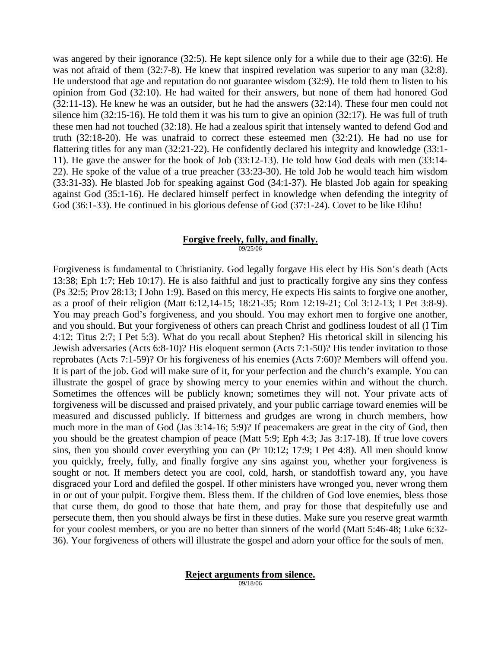was angered by their ignorance (32:5). He kept silence only for a while due to their age (32:6). He was not afraid of them (32:7-8). He knew that inspired revelation was superior to any man (32:8). He understood that age and reputation do not guarantee wisdom (32:9). He told them to listen to his opinion from God (32:10). He had waited for their answers, but none of them had honored God (32:11-13). He knew he was an outsider, but he had the answers (32:14). These four men could not silence him (32:15-16). He told them it was his turn to give an opinion (32:17). He was full of truth these men had not touched (32:18). He had a zealous spirit that intensely wanted to defend God and truth (32:18-20). He was unafraid to correct these esteemed men (32:21). He had no use for flattering titles for any man (32:21-22). He confidently declared his integrity and knowledge (33:1- 11). He gave the answer for the book of Job (33:12-13). He told how God deals with men (33:14- 22). He spoke of the value of a true preacher (33:23-30). He told Job he would teach him wisdom (33:31-33). He blasted Job for speaking against God (34:1-37). He blasted Job again for speaking against God (35:1-16). He declared himself perfect in knowledge when defending the integrity of God (36:1-33). He continued in his glorious defense of God (37:1-24). Covet to be like Elihu!

# **Forgive freely, fully, and finally.**

09/25/06

Forgiveness is fundamental to Christianity. God legally forgave His elect by His Son's death (Acts 13:38; Eph 1:7; Heb 10:17). He is also faithful and just to practically forgive any sins they confess (Ps 32:5; Prov 28:13; I John 1:9). Based on this mercy, He expects His saints to forgive one another, as a proof of their religion (Matt 6:12,14-15; 18:21-35; Rom 12:19-21; Col 3:12-13; I Pet 3:8-9). You may preach God's forgiveness, and you should. You may exhort men to forgive one another, and you should. But your forgiveness of others can preach Christ and godliness loudest of all (I Tim 4:12; Titus 2:7; I Pet 5:3). What do you recall about Stephen? His rhetorical skill in silencing his Jewish adversaries (Acts 6:8-10)? His eloquent sermon (Acts 7:1-50)? His tender invitation to those reprobates (Acts 7:1-59)? Or his forgiveness of his enemies (Acts 7:60)? Members will offend you. It is part of the job. God will make sure of it, for your perfection and the church's example. You can illustrate the gospel of grace by showing mercy to your enemies within and without the church. Sometimes the offences will be publicly known; sometimes they will not. Your private acts of forgiveness will be discussed and praised privately, and your public carriage toward enemies will be measured and discussed publicly. If bitterness and grudges are wrong in church members, how much more in the man of God (Jas 3:14-16; 5:9)? If peacemakers are great in the city of God, then you should be the greatest champion of peace (Matt 5:9; Eph 4:3; Jas 3:17-18). If true love covers sins, then you should cover everything you can (Pr 10:12; 17:9; I Pet 4:8). All men should know you quickly, freely, fully, and finally forgive any sins against you, whether your forgiveness is sought or not. If members detect you are cool, cold, harsh, or standoffish toward any, you have disgraced your Lord and defiled the gospel. If other ministers have wronged you, never wrong them in or out of your pulpit. Forgive them. Bless them. If the children of God love enemies, bless those that curse them, do good to those that hate them, and pray for those that despitefully use and persecute them, then you should always be first in these duties. Make sure you reserve great warmth for your coolest members, or you are no better than sinners of the world (Matt 5:46-48; Luke 6:32- 36). Your forgiveness of others will illustrate the gospel and adorn your office for the souls of men.

## **Reject arguments from silence.**

09/18/06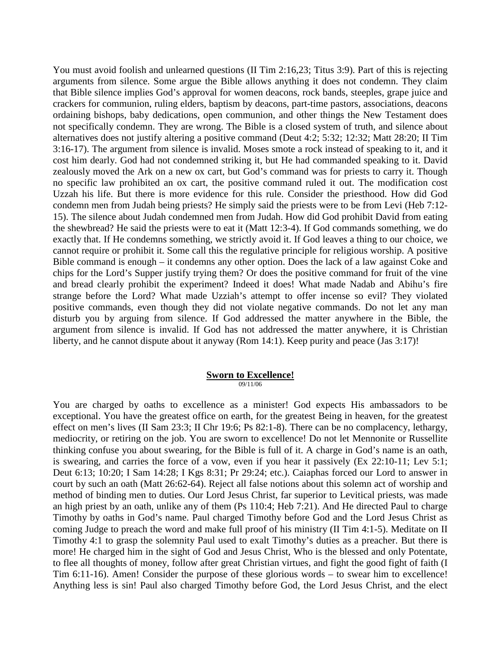You must avoid foolish and unlearned questions (II Tim 2:16,23; Titus 3:9). Part of this is rejecting arguments from silence. Some argue the Bible allows anything it does not condemn. They claim that Bible silence implies God's approval for women deacons, rock bands, steeples, grape juice and crackers for communion, ruling elders, baptism by deacons, part-time pastors, associations, deacons ordaining bishops, baby dedications, open communion, and other things the New Testament does not specifically condemn. They are wrong. The Bible is a closed system of truth, and silence about alternatives does not justify altering a positive command (Deut 4:2; 5:32; 12:32; Matt 28:20; II Tim 3:16-17). The argument from silence is invalid. Moses smote a rock instead of speaking to it, and it cost him dearly. God had not condemned striking it, but He had commanded speaking to it. David zealously moved the Ark on a new ox cart, but God's command was for priests to carry it. Though no specific law prohibited an ox cart, the positive command ruled it out. The modification cost Uzzah his life. But there is more evidence for this rule. Consider the priesthood. How did God condemn men from Judah being priests? He simply said the priests were to be from Levi (Heb 7:12- 15). The silence about Judah condemned men from Judah. How did God prohibit David from eating the shewbread? He said the priests were to eat it (Matt 12:3-4). If God commands something, we do exactly that. If He condemns something, we strictly avoid it. If God leaves a thing to our choice, we cannot require or prohibit it. Some call this the regulative principle for religious worship. A positive Bible command is enough – it condemns any other option. Does the lack of a law against Coke and chips for the Lord's Supper justify trying them? Or does the positive command for fruit of the vine and bread clearly prohibit the experiment? Indeed it does! What made Nadab and Abihu's fire strange before the Lord? What made Uzziah's attempt to offer incense so evil? They violated positive commands, even though they did not violate negative commands. Do not let any man disturb you by arguing from silence. If God addressed the matter anywhere in the Bible, the argument from silence is invalid. If God has not addressed the matter anywhere, it is Christian liberty, and he cannot dispute about it anyway (Rom 14:1). Keep purity and peace (Jas 3:17)!

# **Sworn to Excellence!**

09/11/06

You are charged by oaths to excellence as a minister! God expects His ambassadors to be exceptional. You have the greatest office on earth, for the greatest Being in heaven, for the greatest effect on men's lives (II Sam 23:3; II Chr 19:6; Ps 82:1-8). There can be no complacency, lethargy, mediocrity, or retiring on the job. You are sworn to excellence! Do not let Mennonite or Russellite thinking confuse you about swearing, for the Bible is full of it. A charge in God's name is an oath, is swearing, and carries the force of a vow, even if you hear it passively (Ex 22:10-11; Lev 5:1; Deut 6:13; 10:20; I Sam 14:28; I Kgs 8:31; Pr 29:24; etc.). Caiaphas forced our Lord to answer in court by such an oath (Matt 26:62-64). Reject all false notions about this solemn act of worship and method of binding men to duties. Our Lord Jesus Christ, far superior to Levitical priests, was made an high priest by an oath, unlike any of them (Ps 110:4; Heb 7:21). And He directed Paul to charge Timothy by oaths in God's name. Paul charged Timothy before God and the Lord Jesus Christ as coming Judge to preach the word and make full proof of his ministry (II Tim 4:1-5). Meditate on II Timothy 4:1 to grasp the solemnity Paul used to exalt Timothy's duties as a preacher. But there is more! He charged him in the sight of God and Jesus Christ, Who is the blessed and only Potentate, to flee all thoughts of money, follow after great Christian virtues, and fight the good fight of faith (I Tim 6:11-16). Amen! Consider the purpose of these glorious words – to swear him to excellence! Anything less is sin! Paul also charged Timothy before God, the Lord Jesus Christ, and the elect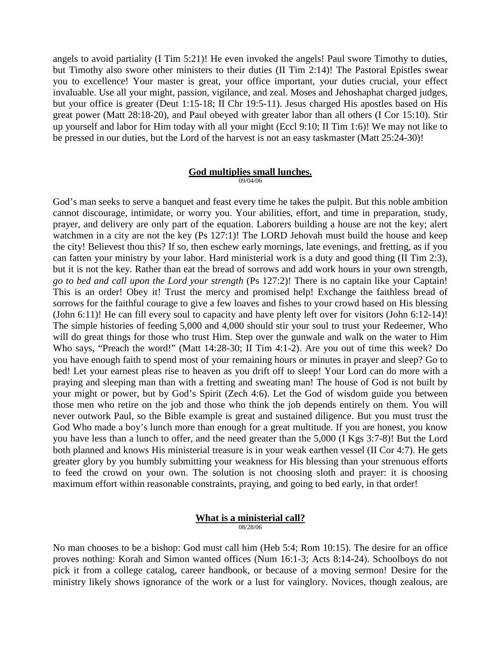angels to avoid partiality (I Tim 5:21)! He even invoked the angels! Paul swore Timothy to duties, but Timothy also swore other ministers to their duties (II Tim 2:14)! The Pastoral Epistles swear you to excellence! Your master is great, your office important, your duties crucial, your effect invaluable. Use all your might, passion, vigilance, and zeal. Moses and Jehoshaphat charged judges, but your office is greater (Deut 1:15-18; II Chr 19:5-11). Jesus charged His apostles based on His great power (Matt 28:18-20), and Paul obeyed with greater labor than all others (I Cor 15:10). Stir up yourself and labor for Him today with all your might (Eccl 9:10; II Tim 1:6)! We may not like to be pressed in our duties, but the Lord of the harvest is not an easy taskmaster (Matt 25:24-30)!

#### **God multiplies small lunches.** 09/04/06

God's man seeks to serve a banquet and feast every time he takes the pulpit. But this noble ambition cannot discourage, intimidate, or worry you. Your abilities, effort, and time in preparation, study, prayer, and delivery are only part of the equation. Laborers building a house are not the key; alert watchmen in a city are not the key (Ps 127:1)! The LORD Jehovah must build the house and keep the city! Believest thou this? If so, then eschew early mornings, late evenings, and fretting, as if you can fatten your ministry by your labor. Hard ministerial work is a duty and good thing (II Tim 2:3), but it is not the key. Rather than eat the bread of sorrows and add work hours in your own strength, *go to bed and call upon the Lord your strength* (Ps 127:2)! There is no captain like your Captain! This is an order! Obey it! Trust the mercy and promised help! Exchange the faithless bread of sorrows for the faithful courage to give a few loaves and fishes to your crowd based on His blessing (John 6:11)! He can fill every soul to capacity and have plenty left over for visitors (John 6:12-14)! The simple histories of feeding 5,000 and 4,000 should stir your soul to trust your Redeemer, Who will do great things for those who trust Him. Step over the gunwale and walk on the water to Him Who says, "Preach the word!" (Matt 14:28-30; II Tim 4:1-2). Are you out of time this week? Do you have enough faith to spend most of your remaining hours or minutes in prayer and sleep? Go to bed! Let your earnest pleas rise to heaven as you drift off to sleep! Your Lord can do more with a praying and sleeping man than with a fretting and sweating man! The house of God is not built by your might or power, but by God's Spirit (Zech 4:6). Let the God of wisdom guide you between those men who retire on the job and those who think the job depends entirely on them. You will never outwork Paul, so the Bible example is great and sustained diligence. But you must trust the God Who made a boy's lunch more than enough for a great multitude. If you are honest, you know you have less than a lunch to offer, and the need greater than the 5,000 (I Kgs 3:7-8)! But the Lord both planned and knows His ministerial treasure is in your weak earthen vessel (II Cor 4:7). He gets greater glory by you humbly submitting your weakness for His blessing than your strenuous efforts to feed the crowd on your own. The solution is not choosing sloth and prayer: it is choosing maximum effort within reasonable constraints, praying, and going to bed early, in that order!

# **What is a ministerial call?**

08/28/06

No man chooses to be a bishop: God must call him (Heb 5:4; Rom 10:15). The desire for an office proves nothing: Korah and Simon wanted offices (Num 16:1-3; Acts 8:14-24). Schoolboys do not pick it from a college catalog, career handbook, or because of a moving sermon! Desire for the ministry likely shows ignorance of the work or a lust for vainglory. Novices, though zealous, are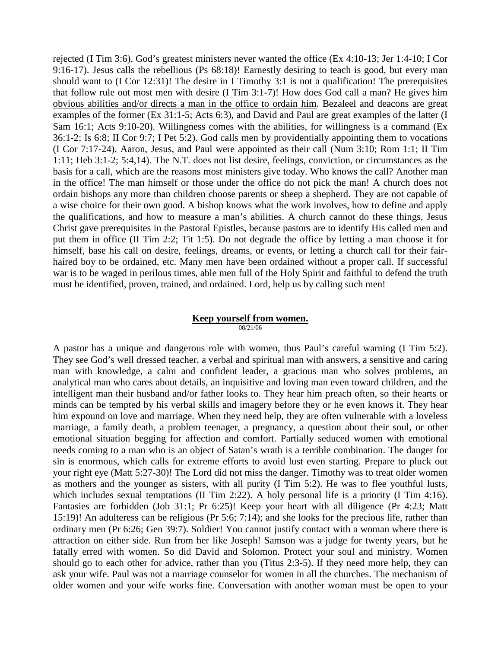rejected (I Tim 3:6). God's greatest ministers never wanted the office (Ex 4:10-13; Jer 1:4-10; I Cor 9:16-17). Jesus calls the rebellious (Ps 68:18)! Earnestly desiring to teach is good, but every man should want to (I Cor 12:31)! The desire in I Timothy 3:1 is not a qualification! The prerequisites that follow rule out most men with desire (I Tim 3:1-7)! How does God call a man? He gives him obvious abilities and/or directs a man in the office to ordain him. Bezaleel and deacons are great examples of the former (Ex 31:1-5; Acts 6:3), and David and Paul are great examples of the latter (I Sam 16:1; Acts 9:10-20). Willingness comes with the abilities, for willingness is a command (Ex 36:1-2; Is 6:8; II Cor 9:7; I Pet 5:2). God calls men by providentially appointing them to vocations (I Cor 7:17-24). Aaron, Jesus, and Paul were appointed as their call (Num 3:10; Rom 1:1; II Tim 1:11; Heb 3:1-2; 5:4,14). The N.T. does not list desire, feelings, conviction, or circumstances as the basis for a call, which are the reasons most ministers give today. Who knows the call? Another man in the office! The man himself or those under the office do not pick the man! A church does not ordain bishops any more than children choose parents or sheep a shepherd. They are not capable of a wise choice for their own good. A bishop knows what the work involves, how to define and apply the qualifications, and how to measure a man's abilities. A church cannot do these things. Jesus Christ gave prerequisites in the Pastoral Epistles, because pastors are to identify His called men and put them in office (II Tim 2:2; Tit 1:5). Do not degrade the office by letting a man choose it for himself, base his call on desire, feelings, dreams, or events, or letting a church call for their fairhaired boy to be ordained, etc. Many men have been ordained without a proper call. If successful war is to be waged in perilous times, able men full of the Holy Spirit and faithful to defend the truth must be identified, proven, trained, and ordained. Lord, help us by calling such men!

#### **Keep yourself from women.**

08/21/06

A pastor has a unique and dangerous role with women, thus Paul's careful warning (I Tim 5:2). They see God's well dressed teacher, a verbal and spiritual man with answers, a sensitive and caring man with knowledge, a calm and confident leader, a gracious man who solves problems, an analytical man who cares about details, an inquisitive and loving man even toward children, and the intelligent man their husband and/or father looks to. They hear him preach often, so their hearts or minds can be tempted by his verbal skills and imagery before they or he even knows it. They hear him expound on love and marriage. When they need help, they are often vulnerable with a loveless marriage, a family death, a problem teenager, a pregnancy, a question about their soul, or other emotional situation begging for affection and comfort. Partially seduced women with emotional needs coming to a man who is an object of Satan's wrath is a terrible combination. The danger for sin is enormous, which calls for extreme efforts to avoid lust even starting. Prepare to pluck out your right eye (Matt 5:27-30)! The Lord did not miss the danger. Timothy was to treat older women as mothers and the younger as sisters, with all purity (I Tim 5:2). He was to flee youthful lusts, which includes sexual temptations (II Tim 2:22). A holy personal life is a priority (I Tim 4:16). Fantasies are forbidden (Job 31:1; Pr 6:25)! Keep your heart with all diligence (Pr 4:23; Matt 15:19)! An adulteress can be religious (Pr 5:6; 7:14); and she looks for the precious life, rather than ordinary men (Pr 6:26; Gen 39:7). Soldier! You cannot justify contact with a woman where there is attraction on either side. Run from her like Joseph! Samson was a judge for twenty years, but he fatally erred with women. So did David and Solomon. Protect your soul and ministry. Women should go to each other for advice, rather than you (Titus 2:3-5). If they need more help, they can ask your wife. Paul was not a marriage counselor for women in all the churches. The mechanism of older women and your wife works fine. Conversation with another woman must be open to your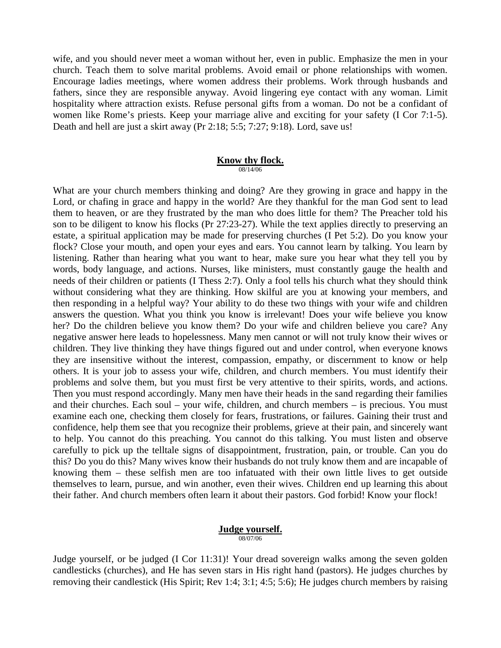wife, and you should never meet a woman without her, even in public. Emphasize the men in your church. Teach them to solve marital problems. Avoid email or phone relationships with women. Encourage ladies meetings, where women address their problems. Work through husbands and fathers, since they are responsible anyway. Avoid lingering eye contact with any woman. Limit hospitality where attraction exists. Refuse personal gifts from a woman. Do not be a confidant of women like Rome's priests. Keep your marriage alive and exciting for your safety (I Cor 7:1-5). Death and hell are just a skirt away (Pr 2:18; 5:5; 7:27; 9:18). Lord, save us!

# **Know thy flock.**

08/14/06

What are your church members thinking and doing? Are they growing in grace and happy in the Lord, or chafing in grace and happy in the world? Are they thankful for the man God sent to lead them to heaven, or are they frustrated by the man who does little for them? The Preacher told his son to be diligent to know his flocks (Pr 27:23-27). While the text applies directly to preserving an estate, a spiritual application may be made for preserving churches (I Pet 5:2). Do you know your flock? Close your mouth, and open your eyes and ears. You cannot learn by talking. You learn by listening. Rather than hearing what you want to hear, make sure you hear what they tell you by words, body language, and actions. Nurses, like ministers, must constantly gauge the health and needs of their children or patients (I Thess 2:7). Only a fool tells his church what they should think without considering what they are thinking. How skilful are you at knowing your members, and then responding in a helpful way? Your ability to do these two things with your wife and children answers the question. What you think you know is irrelevant! Does your wife believe you know her? Do the children believe you know them? Do your wife and children believe you care? Any negative answer here leads to hopelessness. Many men cannot or will not truly know their wives or children. They live thinking they have things figured out and under control, when everyone knows they are insensitive without the interest, compassion, empathy, or discernment to know or help others. It is your job to assess your wife, children, and church members. You must identify their problems and solve them, but you must first be very attentive to their spirits, words, and actions. Then you must respond accordingly. Many men have their heads in the sand regarding their families and their churches. Each soul – your wife, children, and church members – is precious. You must examine each one, checking them closely for fears, frustrations, or failures. Gaining their trust and confidence, help them see that you recognize their problems, grieve at their pain, and sincerely want to help. You cannot do this preaching. You cannot do this talking. You must listen and observe carefully to pick up the telltale signs of disappointment, frustration, pain, or trouble. Can you do this? Do you do this? Many wives know their husbands do not truly know them and are incapable of knowing them – these selfish men are too infatuated with their own little lives to get outside themselves to learn, pursue, and win another, even their wives. Children end up learning this about their father. And church members often learn it about their pastors. God forbid! Know your flock!

#### **Judge yourself.** 08/07/06

Judge yourself, or be judged (I Cor 11:31)! Your dread sovereign walks among the seven golden candlesticks (churches), and He has seven stars in His right hand (pastors). He judges churches by removing their candlestick (His Spirit; Rev 1:4; 3:1; 4:5; 5:6); He judges church members by raising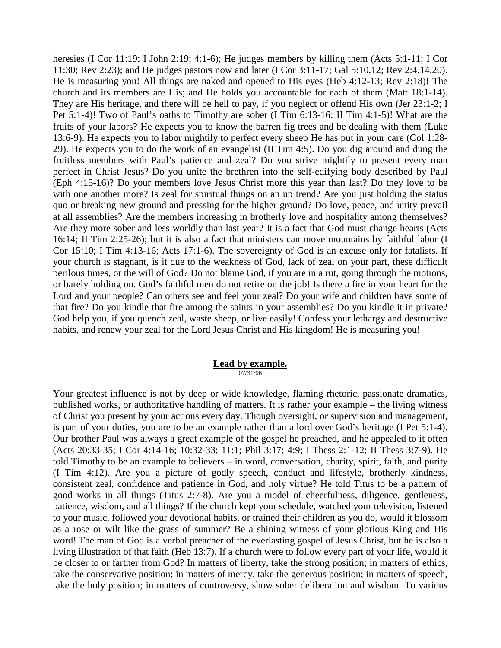heresies (I Cor 11:19; I John 2:19; 4:1-6); He judges members by killing them (Acts 5:1-11; I Cor 11:30; Rev 2:23); and He judges pastors now and later (I Cor 3:11-17; Gal 5:10,12; Rev 2:4,14,20). He is measuring you! All things are naked and opened to His eyes (Heb 4:12-13; Rev 2:18)! The church and its members are His; and He holds you accountable for each of them (Matt 18:1-14). They are His heritage, and there will be hell to pay, if you neglect or offend His own (Jer 23:1-2; I Pet 5:1-4)! Two of Paul's oaths to Timothy are sober (I Tim 6:13-16; II Tim 4:1-5)! What are the fruits of your labors? He expects you to know the barren fig trees and be dealing with them (Luke 13:6-9). He expects you to labor mightily to perfect every sheep He has put in your care (Col 1:28- 29). He expects you to do the work of an evangelist (II Tim 4:5). Do you dig around and dung the fruitless members with Paul's patience and zeal? Do you strive mightily to present every man perfect in Christ Jesus? Do you unite the brethren into the self-edifying body described by Paul (Eph 4:15-16)? Do your members love Jesus Christ more this year than last? Do they love to be with one another more? Is zeal for spiritual things on an up trend? Are you just holding the status quo or breaking new ground and pressing for the higher ground? Do love, peace, and unity prevail at all assemblies? Are the members increasing in brotherly love and hospitality among themselves? Are they more sober and less worldly than last year? It is a fact that God must change hearts (Acts 16:14; II Tim 2:25-26); but it is also a fact that ministers can move mountains by faithful labor (I Cor 15:10; I Tim 4:13-16; Acts 17:1-6). The sovereignty of God is an excuse only for fatalists. If your church is stagnant, is it due to the weakness of God, lack of zeal on your part, these difficult perilous times, or the will of God? Do not blame God, if you are in a rut, going through the motions, or barely holding on. God's faithful men do not retire on the job! Is there a fire in your heart for the Lord and your people? Can others see and feel your zeal? Do your wife and children have some of that fire? Do you kindle that fire among the saints in your assemblies? Do you kindle it in private? God help you, if you quench zeal, waste sheep, or live easily! Confess your lethargy and destructive habits, and renew your zeal for the Lord Jesus Christ and His kingdom! He is measuring you!

#### **Lead by example.** 07/31/06

Your greatest influence is not by deep or wide knowledge, flaming rhetoric, passionate dramatics, published works, or authoritative handling of matters. It is rather your example – the living witness of Christ you present by your actions every day. Though oversight, or supervision and management, is part of your duties, you are to be an example rather than a lord over God's heritage (I Pet 5:1-4). Our brother Paul was always a great example of the gospel he preached, and he appealed to it often (Acts 20:33-35; I Cor 4:14-16; 10:32-33; 11:1; Phil 3:17; 4:9; I Thess 2:1-12; II Thess 3:7-9). He told Timothy to be an example to believers – in word, conversation, charity, spirit, faith, and purity (I Tim 4:12). Are you a picture of godly speech, conduct and lifestyle, brotherly kindness, consistent zeal, confidence and patience in God, and holy virtue? He told Titus to be a pattern of good works in all things (Titus 2:7-8). Are you a model of cheerfulness, diligence, gentleness, patience, wisdom, and all things? If the church kept your schedule, watched your television, listened to your music, followed your devotional habits, or trained their children as you do, would it blossom as a rose or wilt like the grass of summer? Be a shining witness of your glorious King and His word! The man of God is a verbal preacher of the everlasting gospel of Jesus Christ, but he is also a living illustration of that faith (Heb 13:7). If a church were to follow every part of your life, would it be closer to or farther from God? In matters of liberty, take the strong position; in matters of ethics, take the conservative position; in matters of mercy, take the generous position; in matters of speech, take the holy position; in matters of controversy, show sober deliberation and wisdom. To various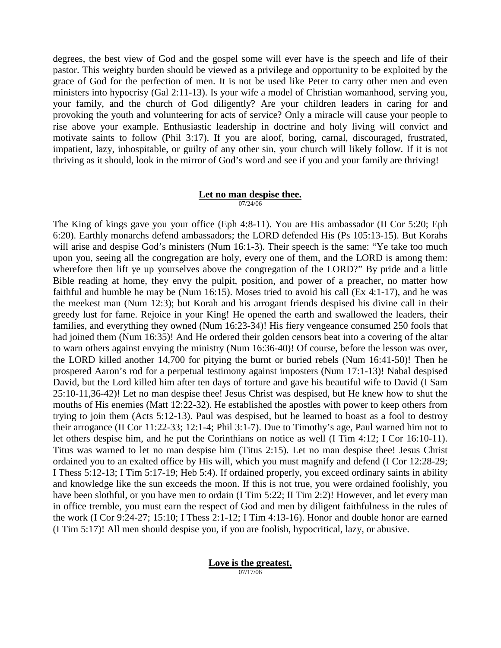degrees, the best view of God and the gospel some will ever have is the speech and life of their pastor. This weighty burden should be viewed as a privilege and opportunity to be exploited by the grace of God for the perfection of men. It is not be used like Peter to carry other men and even ministers into hypocrisy (Gal 2:11-13). Is your wife a model of Christian womanhood, serving you, your family, and the church of God diligently? Are your children leaders in caring for and provoking the youth and volunteering for acts of service? Only a miracle will cause your people to rise above your example. Enthusiastic leadership in doctrine and holy living will convict and motivate saints to follow (Phil 3:17). If you are aloof, boring, carnal, discouraged, frustrated, impatient, lazy, inhospitable, or guilty of any other sin, your church will likely follow. If it is not thriving as it should, look in the mirror of God's word and see if you and your family are thriving!

#### **Let no man despise thee.** 07/24/06

The King of kings gave you your office (Eph 4:8-11). You are His ambassador (II Cor 5:20; Eph 6:20). Earthly monarchs defend ambassadors; the LORD defended His (Ps 105:13-15). But Korahs will arise and despise God's ministers (Num 16:1-3). Their speech is the same: "Ye take too much upon you, seeing all the congregation are holy, every one of them, and the LORD is among them: wherefore then lift ye up yourselves above the congregation of the LORD?" By pride and a little Bible reading at home, they envy the pulpit, position, and power of a preacher, no matter how faithful and humble he may be (Num 16:15). Moses tried to avoid his call (Ex 4:1-17), and he was the meekest man (Num 12:3); but Korah and his arrogant friends despised his divine call in their greedy lust for fame. Rejoice in your King! He opened the earth and swallowed the leaders, their families, and everything they owned (Num 16:23-34)! His fiery vengeance consumed 250 fools that had joined them (Num 16:35)! And He ordered their golden censors beat into a covering of the altar to warn others against envying the ministry (Num 16:36-40)! Of course, before the lesson was over, the LORD killed another 14,700 for pitying the burnt or buried rebels (Num 16:41-50)! Then he prospered Aaron's rod for a perpetual testimony against imposters (Num 17:1-13)! Nabal despised David, but the Lord killed him after ten days of torture and gave his beautiful wife to David (I Sam 25:10-11,36-42)! Let no man despise thee! Jesus Christ was despised, but He knew how to shut the mouths of His enemies (Matt 12:22-32). He established the apostles with power to keep others from trying to join them (Acts 5:12-13). Paul was despised, but he learned to boast as a fool to destroy their arrogance (II Cor 11:22-33; 12:1-4; Phil 3:1-7). Due to Timothy's age, Paul warned him not to let others despise him, and he put the Corinthians on notice as well (I Tim 4:12; I Cor 16:10-11). Titus was warned to let no man despise him (Titus 2:15). Let no man despise thee! Jesus Christ ordained you to an exalted office by His will, which you must magnify and defend (I Cor 12:28-29; I Thess 5:12-13; I Tim 5:17-19; Heb 5:4). If ordained properly, you exceed ordinary saints in ability and knowledge like the sun exceeds the moon. If this is not true, you were ordained foolishly, you have been slothful, or you have men to ordain (I Tim 5:22; II Tim 2:2)! However, and let every man in office tremble, you must earn the respect of God and men by diligent faithfulness in the rules of the work (I Cor 9:24-27; 15:10; I Thess 2:1-12; I Tim 4:13-16). Honor and double honor are earned (I Tim 5:17)! All men should despise you, if you are foolish, hypocritical, lazy, or abusive.

#### **Love is the greatest.** 07/17/06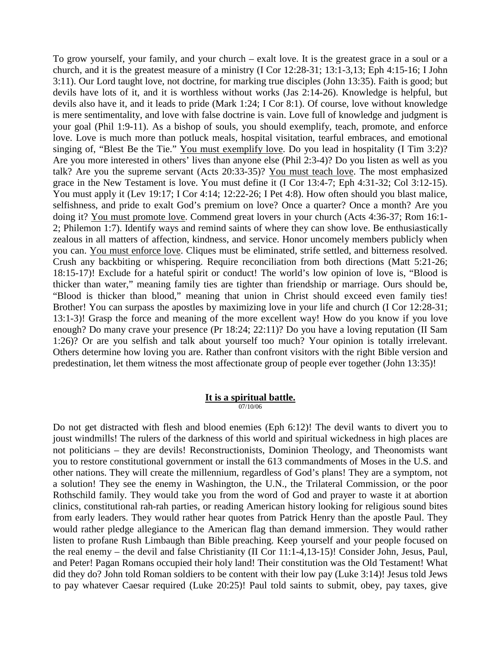To grow yourself, your family, and your church – exalt love. It is the greatest grace in a soul or a church, and it is the greatest measure of a ministry (I Cor 12:28-31; 13:1-3,13; Eph 4:15-16; I John 3:11). Our Lord taught love, not doctrine, for marking true disciples (John 13:35). Faith is good; but devils have lots of it, and it is worthless without works (Jas 2:14-26). Knowledge is helpful, but devils also have it, and it leads to pride (Mark 1:24; I Cor 8:1). Of course, love without knowledge is mere sentimentality, and love with false doctrine is vain. Love full of knowledge and judgment is your goal (Phil 1:9-11). As a bishop of souls, you should exemplify, teach, promote, and enforce love. Love is much more than potluck meals, hospital visitation, tearful embraces, and emotional singing of, "Blest Be the Tie." You must exemplify love. Do you lead in hospitality (I Tim 3:2)? Are you more interested in others' lives than anyone else (Phil 2:3-4)? Do you listen as well as you talk? Are you the supreme servant (Acts 20:33-35)? You must teach love. The most emphasized grace in the New Testament is love. You must define it (I Cor 13:4-7; Eph 4:31-32; Col 3:12-15). You must apply it (Lev 19:17; I Cor 4:14; 12:22-26; I Pet 4:8). How often should you blast malice, selfishness, and pride to exalt God's premium on love? Once a quarter? Once a month? Are you doing it? You must promote love. Commend great lovers in your church (Acts 4:36-37; Rom 16:1- 2; Philemon 1:7). Identify ways and remind saints of where they can show love. Be enthusiastically zealous in all matters of affection, kindness, and service. Honor uncomely members publicly when you can. You must enforce love. Cliques must be eliminated, strife settled, and bitterness resolved. Crush any backbiting or whispering. Require reconciliation from both directions (Matt 5:21-26; 18:15-17)! Exclude for a hateful spirit or conduct! The world's low opinion of love is, "Blood is thicker than water," meaning family ties are tighter than friendship or marriage. Ours should be, "Blood is thicker than blood," meaning that union in Christ should exceed even family ties! Brother! You can surpass the apostles by maximizing love in your life and church (I Cor 12:28-31; 13:1-3)! Grasp the force and meaning of the more excellent way! How do you know if you love enough? Do many crave your presence (Pr 18:24; 22:11)? Do you have a loving reputation (II Sam 1:26)? Or are you selfish and talk about yourself too much? Your opinion is totally irrelevant. Others determine how loving you are. Rather than confront visitors with the right Bible version and predestination, let them witness the most affectionate group of people ever together (John 13:35)!

#### **It is a spiritual battle.** 07/10/06

Do not get distracted with flesh and blood enemies (Eph 6:12)! The devil wants to divert you to joust windmills! The rulers of the darkness of this world and spiritual wickedness in high places are not politicians – they are devils! Reconstructionists, Dominion Theology, and Theonomists want you to restore constitutional government or install the 613 commandments of Moses in the U.S. and other nations. They will create the millennium, regardless of God's plans! They are a symptom, not a solution! They see the enemy in Washington, the U.N., the Trilateral Commission, or the poor Rothschild family. They would take you from the word of God and prayer to waste it at abortion clinics, constitutional rah-rah parties, or reading American history looking for religious sound bites from early leaders. They would rather hear quotes from Patrick Henry than the apostle Paul. They would rather pledge allegiance to the American flag than demand immersion. They would rather listen to profane Rush Limbaugh than Bible preaching. Keep yourself and your people focused on the real enemy – the devil and false Christianity (II Cor 11:1-4,13-15)! Consider John, Jesus, Paul, and Peter! Pagan Romans occupied their holy land! Their constitution was the Old Testament! What did they do? John told Roman soldiers to be content with their low pay (Luke 3:14)! Jesus told Jews to pay whatever Caesar required (Luke 20:25)! Paul told saints to submit, obey, pay taxes, give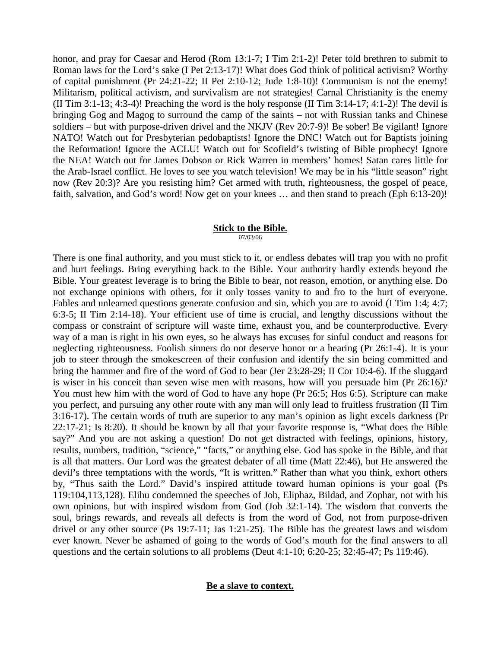honor, and pray for Caesar and Herod (Rom 13:1-7; I Tim 2:1-2)! Peter told brethren to submit to Roman laws for the Lord's sake (I Pet 2:13-17)! What does God think of political activism? Worthy of capital punishment (Pr 24:21-22; II Pet 2:10-12; Jude 1:8-10)! Communism is not the enemy! Militarism, political activism, and survivalism are not strategies! Carnal Christianity is the enemy (II Tim 3:1-13; 4:3-4)! Preaching the word is the holy response (II Tim 3:14-17; 4:1-2)! The devil is bringing Gog and Magog to surround the camp of the saints – not with Russian tanks and Chinese soldiers – but with purpose-driven drivel and the NKJV (Rev 20:7-9)! Be sober! Be vigilant! Ignore NATO! Watch out for Presbyterian pedobaptists! Ignore the DNC! Watch out for Baptists joining the Reformation! Ignore the ACLU! Watch out for Scofield's twisting of Bible prophecy! Ignore the NEA! Watch out for James Dobson or Rick Warren in members' homes! Satan cares little for the Arab-Israel conflict. He loves to see you watch television! We may be in his "little season" right now (Rev 20:3)? Are you resisting him? Get armed with truth, righteousness, the gospel of peace, faith, salvation, and God's word! Now get on your knees … and then stand to preach (Eph 6:13-20)!

#### **Stick to the Bible.** 07/03/06

There is one final authority, and you must stick to it, or endless debates will trap you with no profit and hurt feelings. Bring everything back to the Bible. Your authority hardly extends beyond the Bible. Your greatest leverage is to bring the Bible to bear, not reason, emotion, or anything else. Do not exchange opinions with others, for it only tosses vanity to and fro to the hurt of everyone. Fables and unlearned questions generate confusion and sin, which you are to avoid (I Tim 1:4; 4:7; 6:3-5; II Tim 2:14-18). Your efficient use of time is crucial, and lengthy discussions without the compass or constraint of scripture will waste time, exhaust you, and be counterproductive. Every way of a man is right in his own eyes, so he always has excuses for sinful conduct and reasons for neglecting righteousness. Foolish sinners do not deserve honor or a hearing (Pr 26:1-4). It is your job to steer through the smokescreen of their confusion and identify the sin being committed and bring the hammer and fire of the word of God to bear (Jer 23:28-29; II Cor 10:4-6). If the sluggard is wiser in his conceit than seven wise men with reasons, how will you persuade him (Pr 26:16)? You must hew him with the word of God to have any hope (Pr 26:5; Hos 6:5). Scripture can make you perfect, and pursuing any other route with any man will only lead to fruitless frustration (II Tim 3:16-17). The certain words of truth are superior to any man's opinion as light excels darkness (Pr 22:17-21; Is 8:20). It should be known by all that your favorite response is, "What does the Bible say?" And you are not asking a question! Do not get distracted with feelings, opinions, history, results, numbers, tradition, "science," "facts," or anything else. God has spoke in the Bible, and that is all that matters. Our Lord was the greatest debater of all time (Matt 22:46), but He answered the devil's three temptations with the words, "It is written." Rather than what you think, exhort others by, "Thus saith the Lord." David's inspired attitude toward human opinions is your goal (Ps 119:104,113,128). Elihu condemned the speeches of Job, Eliphaz, Bildad, and Zophar, not with his own opinions, but with inspired wisdom from God (Job 32:1-14). The wisdom that converts the soul, brings rewards, and reveals all defects is from the word of God, not from purpose-driven drivel or any other source (Ps 19:7-11; Jas 1:21-25). The Bible has the greatest laws and wisdom ever known. Never be ashamed of going to the words of God's mouth for the final answers to all questions and the certain solutions to all problems (Deut 4:1-10; 6:20-25; 32:45-47; Ps 119:46).

# **Be a slave to context.**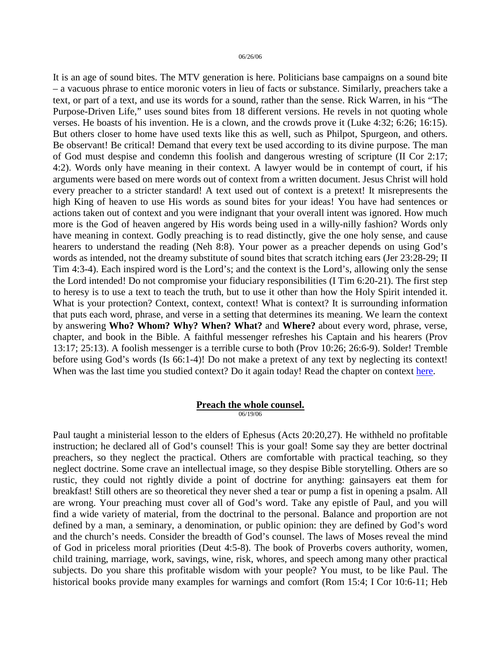It is an age of sound bites. The MTV generation is here. Politicians base campaigns on a sound bite – a vacuous phrase to entice moronic voters in lieu of facts or substance. Similarly, preachers take a text, or part of a text, and use its words for a sound, rather than the sense. Rick Warren, in his "The Purpose-Driven Life," uses sound bites from 18 different versions. He revels in not quoting whole verses. He boasts of his invention. He is a clown, and the crowds prove it (Luke 4:32; 6:26; 16:15). But others closer to home have used texts like this as well, such as Philpot, Spurgeon, and others. Be observant! Be critical! Demand that every text be used according to its divine purpose. The man of God must despise and condemn this foolish and dangerous wresting of scripture (II Cor 2:17; 4:2). Words only have meaning in their context. A lawyer would be in contempt of court, if his arguments were based on mere words out of context from a written document. Jesus Christ will hold every preacher to a stricter standard! A text used out of context is a pretext! It misrepresents the high King of heaven to use His words as sound bites for your ideas! You have had sentences or actions taken out of context and you were indignant that your overall intent was ignored. How much more is the God of heaven angered by His words being used in a willy-nilly fashion? Words only have meaning in context. Godly preaching is to read distinctly, give the one holy sense, and cause hearers to understand the reading (Neh 8:8). Your power as a preacher depends on using God's words as intended, not the dreamy substitute of sound bites that scratch itching ears (Jer 23:28-29; II Tim 4:3-4). Each inspired word is the Lord's; and the context is the Lord's, allowing only the sense the Lord intended! Do not compromise your fiduciary responsibilities (I Tim 6:20-21). The first step to heresy is to use a text to teach the truth, but to use it other than how the Holy Spirit intended it. What is your protection? Context, context, context! What is context? It is surrounding information that puts each word, phrase, and verse in a setting that determines its meaning. We learn the context by answering **Who? Whom? Why? When? What?** and **Where?** about every word, phrase, verse, chapter, and book in the Bible. A faithful messenger refreshes his Captain and his hearers (Prov 13:17; 25:13). A foolish messenger is a terrible curse to both (Prov 10:26; 26:6-9). Solder! Tremble before using God's words (Is 66:1-4)! Do not make a pretext of any text by neglecting its context! When was the last time you studied context? Do it again today! Read the chapter on context [here.](http://www.letgodbetrue.com/bible/scripture/knowing-the-scriptures.pdf)

# **Preach the whole counsel.**

06/19/06

Paul taught a ministerial lesson to the elders of Ephesus (Acts 20:20,27). He withheld no profitable instruction; he declared all of God's counsel! This is your goal! Some say they are better doctrinal preachers, so they neglect the practical. Others are comfortable with practical teaching, so they neglect doctrine. Some crave an intellectual image, so they despise Bible storytelling. Others are so rustic, they could not rightly divide a point of doctrine for anything: gainsayers eat them for breakfast! Still others are so theoretical they never shed a tear or pump a fist in opening a psalm. All are wrong. Your preaching must cover all of God's word. Take any epistle of Paul, and you will find a wide variety of material, from the doctrinal to the personal. Balance and proportion are not defined by a man, a seminary, a denomination, or public opinion: they are defined by God's word and the church's needs. Consider the breadth of God's counsel. The laws of Moses reveal the mind of God in priceless moral priorities (Deut 4:5-8). The book of Proverbs covers authority, women, child training, marriage, work, savings, wine, risk, whores, and speech among many other practical subjects. Do you share this profitable wisdom with your people? You must, to be like Paul. The historical books provide many examples for warnings and comfort (Rom 15:4; I Cor 10:6-11; Heb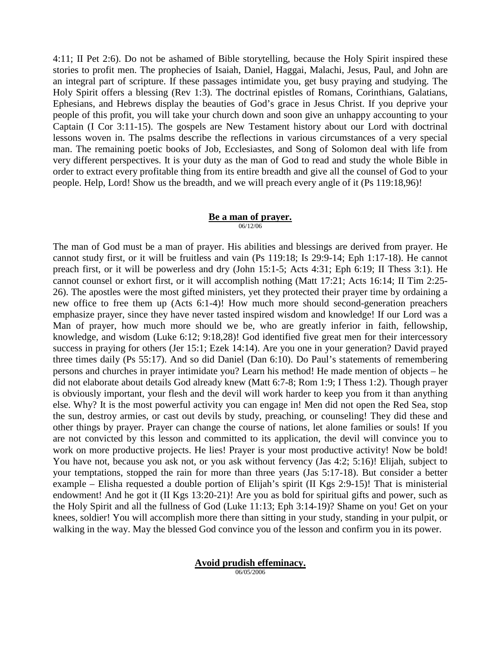4:11; II Pet 2:6). Do not be ashamed of Bible storytelling, because the Holy Spirit inspired these stories to profit men. The prophecies of Isaiah, Daniel, Haggai, Malachi, Jesus, Paul, and John are an integral part of scripture. If these passages intimidate you, get busy praying and studying. The Holy Spirit offers a blessing (Rev 1:3). The doctrinal epistles of Romans, Corinthians, Galatians, Ephesians, and Hebrews display the beauties of God's grace in Jesus Christ. If you deprive your people of this profit, you will take your church down and soon give an unhappy accounting to your Captain (I Cor 3:11-15). The gospels are New Testament history about our Lord with doctrinal lessons woven in. The psalms describe the reflections in various circumstances of a very special man. The remaining poetic books of Job, Ecclesiastes, and Song of Solomon deal with life from very different perspectives. It is your duty as the man of God to read and study the whole Bible in order to extract every profitable thing from its entire breadth and give all the counsel of God to your people. Help, Lord! Show us the breadth, and we will preach every angle of it (Ps 119:18,96)!

#### **Be a man of prayer.** 06/12/06

The man of God must be a man of prayer. His abilities and blessings are derived from prayer. He cannot study first, or it will be fruitless and vain (Ps 119:18; Is 29:9-14; Eph 1:17-18). He cannot preach first, or it will be powerless and dry (John 15:1-5; Acts 4:31; Eph 6:19; II Thess 3:1). He cannot counsel or exhort first, or it will accomplish nothing (Matt 17:21; Acts 16:14; II Tim 2:25- 26). The apostles were the most gifted ministers, yet they protected their prayer time by ordaining a new office to free them up (Acts 6:1-4)! How much more should second-generation preachers emphasize prayer, since they have never tasted inspired wisdom and knowledge! If our Lord was a Man of prayer, how much more should we be, who are greatly inferior in faith, fellowship, knowledge, and wisdom (Luke 6:12; 9:18,28)! God identified five great men for their intercessory success in praying for others (Jer 15:1; Ezek 14:14). Are you one in your generation? David prayed three times daily (Ps 55:17). And so did Daniel (Dan 6:10). Do Paul's statements of remembering persons and churches in prayer intimidate you? Learn his method! He made mention of objects – he did not elaborate about details God already knew (Matt 6:7-8; Rom 1:9; I Thess 1:2). Though prayer is obviously important, your flesh and the devil will work harder to keep you from it than anything else. Why? It is the most powerful activity you can engage in! Men did not open the Red Sea, stop the sun, destroy armies, or cast out devils by study, preaching, or counseling! They did these and other things by prayer. Prayer can change the course of nations, let alone families or souls! If you are not convicted by this lesson and committed to its application, the devil will convince you to work on more productive projects. He lies! Prayer is your most productive activity! Now be bold! You have not, because you ask not, or you ask without fervency (Jas 4:2; 5:16)! Elijah, subject to your temptations, stopped the rain for more than three years (Jas 5:17-18). But consider a better example – Elisha requested a double portion of Elijah's spirit (II Kgs 2:9-15)! That is ministerial endowment! And he got it (II Kgs 13:20-21)! Are you as bold for spiritual gifts and power, such as the Holy Spirit and all the fullness of God (Luke 11:13; Eph 3:14-19)? Shame on you! Get on your knees, soldier! You will accomplish more there than sitting in your study, standing in your pulpit, or walking in the way. May the blessed God convince you of the lesson and confirm you in its power.

**Avoid prudish effeminacy.**

06/05/2006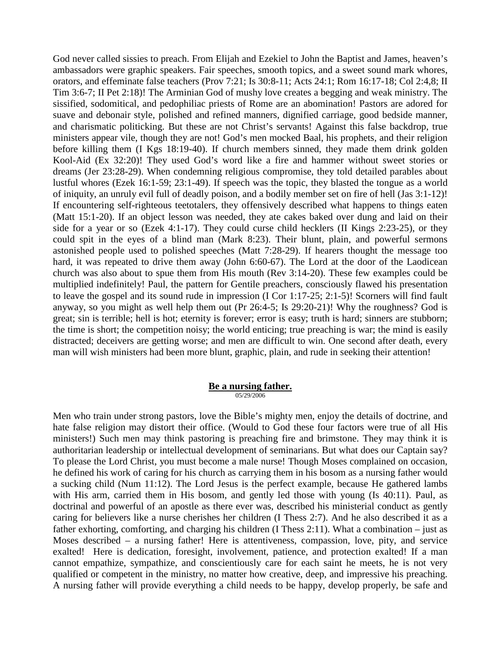God never called sissies to preach. From Elijah and Ezekiel to John the Baptist and James, heaven's ambassadors were graphic speakers. Fair speeches, smooth topics, and a sweet sound mark whores, orators, and effeminate false teachers (Prov 7:21; Is 30:8-11; Acts 24:1; Rom 16:17-18; Col 2:4,8; II Tim 3:6-7; II Pet 2:18)! The Arminian God of mushy love creates a begging and weak ministry. The sissified, sodomitical, and pedophiliac priests of Rome are an abomination! Pastors are adored for suave and debonair style, polished and refined manners, dignified carriage, good bedside manner, and charismatic politicking. But these are not Christ's servants! Against this false backdrop, true ministers appear vile, though they are not! God's men mocked Baal, his prophets, and their religion before killing them (I Kgs 18:19-40). If church members sinned, they made them drink golden Kool-Aid (Ex 32:20)! They used God's word like a fire and hammer without sweet stories or dreams (Jer 23:28-29). When condemning religious compromise, they told detailed parables about lustful whores (Ezek 16:1-59; 23:1-49). If speech was the topic, they blasted the tongue as a world of iniquity, an unruly evil full of deadly poison, and a bodily member set on fire of hell (Jas 3:1-12)! If encountering self-righteous teetotalers, they offensively described what happens to things eaten (Matt 15:1-20). If an object lesson was needed, they ate cakes baked over dung and laid on their side for a year or so (Ezek 4:1-17). They could curse child hecklers (II Kings 2:23-25), or they could spit in the eyes of a blind man (Mark 8:23). Their blunt, plain, and powerful sermons astonished people used to polished speeches (Matt 7:28-29). If hearers thought the message too hard, it was repeated to drive them away (John 6:60-67). The Lord at the door of the Laodicean church was also about to spue them from His mouth (Rev 3:14-20). These few examples could be multiplied indefinitely! Paul, the pattern for Gentile preachers, consciously flawed his presentation to leave the gospel and its sound rude in impression (I Cor 1:17-25; 2:1-5)! Scorners will find fault anyway, so you might as well help them out (Pr 26:4-5; Is 29:20-21)! Why the roughness? God is great; sin is terrible; hell is hot; eternity is forever; error is easy; truth is hard; sinners are stubborn; the time is short; the competition noisy; the world enticing; true preaching is war; the mind is easily distracted; deceivers are getting worse; and men are difficult to win. One second after death, every man will wish ministers had been more blunt, graphic, plain, and rude in seeking their attention!

#### **Be a nursing father.** 05/29/2006

Men who train under strong pastors, love the Bible's mighty men, enjoy the details of doctrine, and hate false religion may distort their office. (Would to God these four factors were true of all His ministers!) Such men may think pastoring is preaching fire and brimstone. They may think it is authoritarian leadership or intellectual development of seminarians. But what does our Captain say? To please the Lord Christ, you must become a male nurse! Though Moses complained on occasion, he defined his work of caring for his church as carrying them in his bosom as a nursing father would a sucking child (Num 11:12). The Lord Jesus is the perfect example, because He gathered lambs with His arm, carried them in His bosom, and gently led those with young (Is 40:11). Paul, as doctrinal and powerful of an apostle as there ever was, described his ministerial conduct as gently caring for believers like a nurse cherishes her children (I Thess 2:7). And he also described it as a father exhorting, comforting, and charging his children (I Thess 2:11). What a combination – just as Moses described – a nursing father! Here is attentiveness, compassion, love, pity, and service exalted! Here is dedication, foresight, involvement, patience, and protection exalted! If a man cannot empathize, sympathize, and conscientiously care for each saint he meets, he is not very qualified or competent in the ministry, no matter how creative, deep, and impressive his preaching. A nursing father will provide everything a child needs to be happy, develop properly, be safe and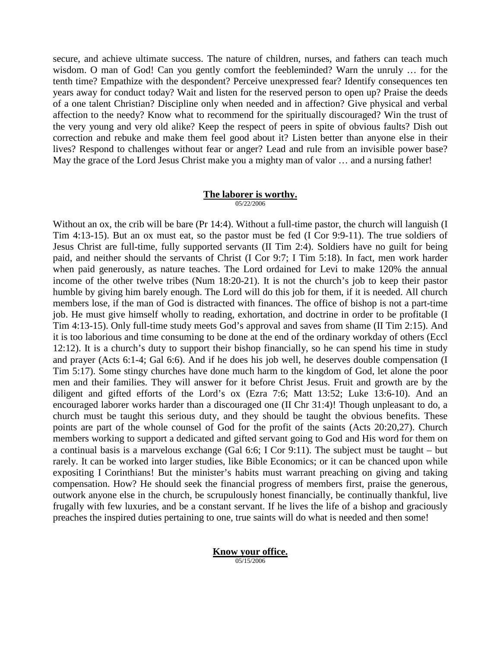secure, and achieve ultimate success. The nature of children, nurses, and fathers can teach much wisdom. O man of God! Can you gently comfort the feebleminded? Warn the unruly … for the tenth time? Empathize with the despondent? Perceive unexpressed fear? Identify consequences ten years away for conduct today? Wait and listen for the reserved person to open up? Praise the deeds of a one talent Christian? Discipline only when needed and in affection? Give physical and verbal affection to the needy? Know what to recommend for the spiritually discouraged? Win the trust of the very young and very old alike? Keep the respect of peers in spite of obvious faults? Dish out correction and rebuke and make them feel good about it? Listen better than anyone else in their lives? Respond to challenges without fear or anger? Lead and rule from an invisible power base? May the grace of the Lord Jesus Christ make you a mighty man of valor ... and a nursing father!

#### **The laborer is worthy.** 05/22/2006

Without an ox, the crib will be bare (Pr 14:4). Without a full-time pastor, the church will languish (I Tim 4:13-15). But an ox must eat, so the pastor must be fed (I Cor 9:9-11). The true soldiers of Jesus Christ are full-time, fully supported servants (II Tim 2:4). Soldiers have no guilt for being paid, and neither should the servants of Christ (I Cor 9:7; I Tim 5:18). In fact, men work harder when paid generously, as nature teaches. The Lord ordained for Levi to make 120% the annual income of the other twelve tribes (Num 18:20-21). It is not the church's job to keep their pastor humble by giving him barely enough. The Lord will do this job for them, if it is needed. All church members lose, if the man of God is distracted with finances. The office of bishop is not a part-time job. He must give himself wholly to reading, exhortation, and doctrine in order to be profitable (I Tim 4:13-15). Only full-time study meets God's approval and saves from shame (II Tim 2:15). And it is too laborious and time consuming to be done at the end of the ordinary workday of others (Eccl 12:12). It is a church's duty to support their bishop financially, so he can spend his time in study and prayer (Acts 6:1-4; Gal 6:6). And if he does his job well, he deserves double compensation (I Tim 5:17). Some stingy churches have done much harm to the kingdom of God, let alone the poor men and their families. They will answer for it before Christ Jesus. Fruit and growth are by the diligent and gifted efforts of the Lord's ox (Ezra 7:6; Matt 13:52; Luke 13:6-10). And an encouraged laborer works harder than a discouraged one (II Chr 31:4)! Though unpleasant to do, a church must be taught this serious duty, and they should be taught the obvious benefits. These points are part of the whole counsel of God for the profit of the saints (Acts 20:20,27). Church members working to support a dedicated and gifted servant going to God and His word for them on a continual basis is a marvelous exchange (Gal 6:6; I Cor 9:11). The subject must be taught – but rarely. It can be worked into larger studies, like Bible Economics; or it can be chanced upon while expositing I Corinthians! But the minister's habits must warrant preaching on giving and taking compensation. How? He should seek the financial progress of members first, praise the generous, outwork anyone else in the church, be scrupulously honest financially, be continually thankful, live frugally with few luxuries, and be a constant servant. If he lives the life of a bishop and graciously preaches the inspired duties pertaining to one, true saints will do what is needed and then some!

> **Know your office.** 05/15/2006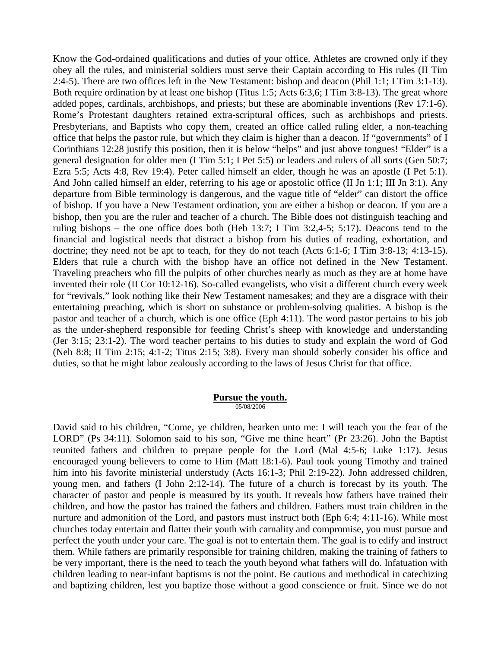Know the God-ordained qualifications and duties of your office. Athletes are crowned only if they obey all the rules, and ministerial soldiers must serve their Captain according to His rules (II Tim 2:4-5). There are two offices left in the New Testament: bishop and deacon (Phil 1:1; I Tim 3:1-13). Both require ordination by at least one bishop (Titus 1:5; Acts 6:3,6; I Tim 3:8-13). The great whore added popes, cardinals, archbishops, and priests; but these are abominable inventions (Rev 17:1-6). Rome's Protestant daughters retained extra-scriptural offices, such as archbishops and priests. Presbyterians, and Baptists who copy them, created an office called ruling elder, a non-teaching office that helps the pastor rule, but which they claim is higher than a deacon. If "governments" of I Corinthians 12:28 justify this position, then it is below "helps" and just above tongues! "Elder" is a general designation for older men (I Tim 5:1; I Pet 5:5) or leaders and rulers of all sorts (Gen 50:7; Ezra 5:5; Acts 4:8, Rev 19:4). Peter called himself an elder, though he was an apostle (I Pet 5:1). And John called himself an elder, referring to his age or apostolic office (II Jn 1:1; III Jn 3:1). Any departure from Bible terminology is dangerous, and the vague title of "elder" can distort the office of bishop. If you have a New Testament ordination, you are either a bishop or deacon. If you are a bishop, then you are the ruler and teacher of a church. The Bible does not distinguish teaching and ruling bishops – the one office does both (Heb 13:7; I Tim 3:2,4-5; 5:17). Deacons tend to the financial and logistical needs that distract a bishop from his duties of reading, exhortation, and doctrine; they need not be apt to teach, for they do not teach (Acts 6:1-6; I Tim 3:8-13; 4:13-15). Elders that rule a church with the bishop have an office not defined in the New Testament. Traveling preachers who fill the pulpits of other churches nearly as much as they are at home have invented their role (II Cor 10:12-16). So-called evangelists, who visit a different church every week for "revivals," look nothing like their New Testament namesakes; and they are a disgrace with their entertaining preaching, which is short on substance or problem-solving qualities. A bishop is the pastor and teacher of a church, which is one office (Eph 4:11). The word pastor pertains to his job as the under-shepherd responsible for feeding Christ's sheep with knowledge and understanding (Jer 3:15; 23:1-2). The word teacher pertains to his duties to study and explain the word of God (Neh 8:8; II Tim 2:15; 4:1-2; Titus 2:15; 3:8). Every man should soberly consider his office and duties, so that he might labor zealously according to the laws of Jesus Christ for that office.

#### **Pursue the youth.** 05/08/2006

David said to his children, "Come, ye children, hearken unto me: I will teach you the fear of the LORD" (Ps 34:11). Solomon said to his son, "Give me thine heart" (Pr 23:26). John the Baptist reunited fathers and children to prepare people for the Lord (Mal 4:5-6; Luke 1:17). Jesus encouraged young believers to come to Him (Matt 18:1-6). Paul took young Timothy and trained him into his favorite ministerial understudy (Acts 16:1-3; Phil 2:19-22). John addressed children, young men, and fathers (I John 2:12-14). The future of a church is forecast by its youth. The character of pastor and people is measured by its youth. It reveals how fathers have trained their children, and how the pastor has trained the fathers and children. Fathers must train children in the nurture and admonition of the Lord, and pastors must instruct both (Eph 6:4; 4:11-16). While most churches today entertain and flatter their youth with carnality and compromise, you must pursue and perfect the youth under your care. The goal is not to entertain them. The goal is to edify and instruct them. While fathers are primarily responsible for training children, making the training of fathers to be very important, there is the need to teach the youth beyond what fathers will do. Infatuation with children leading to near-infant baptisms is not the point. Be cautious and methodical in catechizing and baptizing children, lest you baptize those without a good conscience or fruit. Since we do not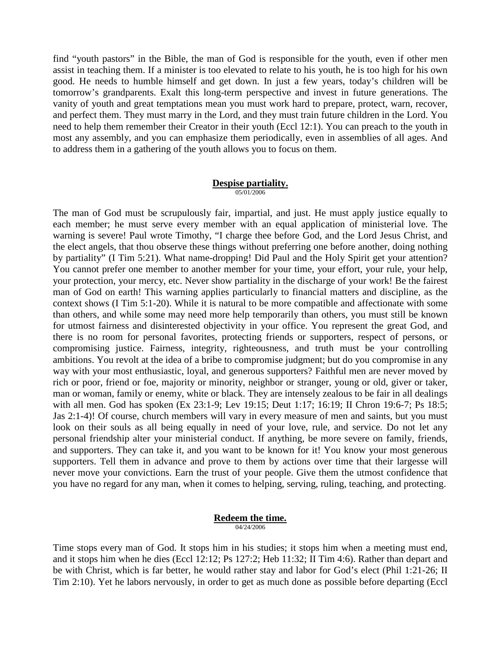find "youth pastors" in the Bible, the man of God is responsible for the youth, even if other men assist in teaching them. If a minister is too elevated to relate to his youth, he is too high for his own good. He needs to humble himself and get down. In just a few years, today's children will be tomorrow's grandparents. Exalt this long-term perspective and invest in future generations. The vanity of youth and great temptations mean you must work hard to prepare, protect, warn, recover, and perfect them. They must marry in the Lord, and they must train future children in the Lord. You need to help them remember their Creator in their youth (Eccl 12:1). You can preach to the youth in most any assembly, and you can emphasize them periodically, even in assemblies of all ages. And to address them in a gathering of the youth allows you to focus on them.

#### **Despise partiality.** 05/01/2006

The man of God must be scrupulously fair, impartial, and just. He must apply justice equally to each member; he must serve every member with an equal application of ministerial love. The warning is severe! Paul wrote Timothy, "I charge thee before God, and the Lord Jesus Christ, and the elect angels, that thou observe these things without preferring one before another, doing nothing by partiality" (I Tim 5:21). What name-dropping! Did Paul and the Holy Spirit get your attention? You cannot prefer one member to another member for your time, your effort, your rule, your help, your protection, your mercy, etc. Never show partiality in the discharge of your work! Be the fairest man of God on earth! This warning applies particularly to financial matters and discipline, as the context shows (I Tim 5:1-20). While it is natural to be more compatible and affectionate with some than others, and while some may need more help temporarily than others, you must still be known for utmost fairness and disinterested objectivity in your office. You represent the great God, and there is no room for personal favorites, protecting friends or supporters, respect of persons, or compromising justice. Fairness, integrity, righteousness, and truth must be your controlling ambitions. You revolt at the idea of a bribe to compromise judgment; but do you compromise in any way with your most enthusiastic, loyal, and generous supporters? Faithful men are never moved by rich or poor, friend or foe, majority or minority, neighbor or stranger, young or old, giver or taker, man or woman, family or enemy, white or black. They are intensely zealous to be fair in all dealings with all men. God has spoken (Ex 23:1-9; Lev 19:15; Deut 1:17; 16:19; II Chron 19:6-7; Ps 18:5; Jas 2:1-4)! Of course, church members will vary in every measure of men and saints, but you must look on their souls as all being equally in need of your love, rule, and service. Do not let any personal friendship alter your ministerial conduct. If anything, be more severe on family, friends, and supporters. They can take it, and you want to be known for it! You know your most generous supporters. Tell them in advance and prove to them by actions over time that their largesse will never move your convictions. Earn the trust of your people. Give them the utmost confidence that you have no regard for any man, when it comes to helping, serving, ruling, teaching, and protecting.

#### **Redeem the time.** 04/24/2006

Time stops every man of God. It stops him in his studies; it stops him when a meeting must end, and it stops him when he dies (Eccl 12:12; Ps 127:2; Heb 11:32; II Tim 4:6). Rather than depart and be with Christ, which is far better, he would rather stay and labor for God's elect (Phil 1:21-26; II Tim 2:10). Yet he labors nervously, in order to get as much done as possible before departing (Eccl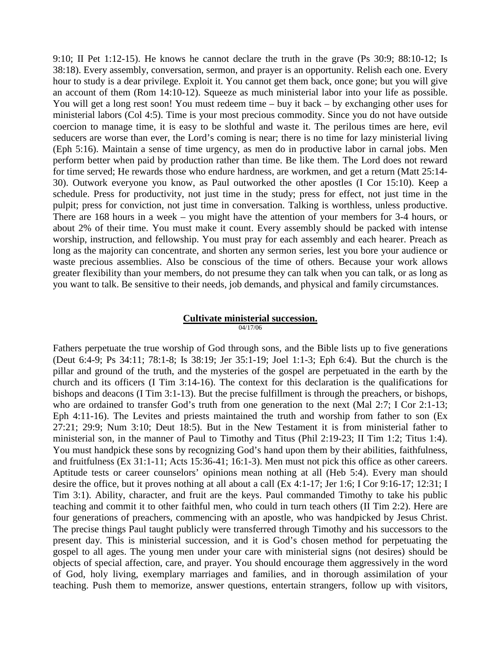9:10; II Pet 1:12-15). He knows he cannot declare the truth in the grave (Ps 30:9; 88:10-12; Is 38:18). Every assembly, conversation, sermon, and prayer is an opportunity. Relish each one. Every hour to study is a dear privilege. Exploit it. You cannot get them back, once gone; but you will give an account of them (Rom 14:10-12). Squeeze as much ministerial labor into your life as possible. You will get a long rest soon! You must redeem time – buy it back – by exchanging other uses for ministerial labors (Col 4:5). Time is your most precious commodity. Since you do not have outside coercion to manage time, it is easy to be slothful and waste it. The perilous times are here, evil seducers are worse than ever, the Lord's coming is near; there is no time for lazy ministerial living (Eph 5:16). Maintain a sense of time urgency, as men do in productive labor in carnal jobs. Men perform better when paid by production rather than time. Be like them. The Lord does not reward for time served; He rewards those who endure hardness, are workmen, and get a return (Matt 25:14- 30). Outwork everyone you know, as Paul outworked the other apostles (I Cor 15:10). Keep a schedule. Press for productivity, not just time in the study; press for effect, not just time in the pulpit; press for conviction, not just time in conversation. Talking is worthless, unless productive. There are 168 hours in a week – you might have the attention of your members for 3-4 hours, or about 2% of their time. You must make it count. Every assembly should be packed with intense worship, instruction, and fellowship. You must pray for each assembly and each hearer. Preach as long as the majority can concentrate, and shorten any sermon series, lest you bore your audience or waste precious assemblies. Also be conscious of the time of others. Because your work allows greater flexibility than your members, do not presume they can talk when you can talk, or as long as you want to talk. Be sensitive to their needs, job demands, and physical and family circumstances.

# **Cultivate ministerial succession.**

04/17/06

Fathers perpetuate the true worship of God through sons, and the Bible lists up to five generations (Deut 6:4-9; Ps 34:11; 78:1-8; Is 38:19; Jer 35:1-19; Joel 1:1-3; Eph 6:4). But the church is the pillar and ground of the truth, and the mysteries of the gospel are perpetuated in the earth by the church and its officers (I Tim 3:14-16). The context for this declaration is the qualifications for bishops and deacons (I Tim 3:1-13). But the precise fulfillment is through the preachers, or bishops, who are ordained to transfer God's truth from one generation to the next (Mal 2:7; I Cor 2:1-13; Eph 4:11-16). The Levites and priests maintained the truth and worship from father to son (Ex 27:21; 29:9; Num 3:10; Deut 18:5). But in the New Testament it is from ministerial father to ministerial son, in the manner of Paul to Timothy and Titus (Phil 2:19-23; II Tim 1:2; Titus 1:4). You must handpick these sons by recognizing God's hand upon them by their abilities, faithfulness, and fruitfulness (Ex 31:1-11; Acts 15:36-41; 16:1-3). Men must not pick this office as other careers. Aptitude tests or career counselors' opinions mean nothing at all (Heb 5:4). Every man should desire the office, but it proves nothing at all about a call (Ex 4:1-17; Jer 1:6; I Cor 9:16-17; 12:31; I Tim 3:1). Ability, character, and fruit are the keys. Paul commanded Timothy to take his public teaching and commit it to other faithful men, who could in turn teach others (II Tim 2:2). Here are four generations of preachers, commencing with an apostle, who was handpicked by Jesus Christ. The precise things Paul taught publicly were transferred through Timothy and his successors to the present day. This is ministerial succession, and it is God's chosen method for perpetuating the gospel to all ages. The young men under your care with ministerial signs (not desires) should be objects of special affection, care, and prayer. You should encourage them aggressively in the word of God, holy living, exemplary marriages and families, and in thorough assimilation of your teaching. Push them to memorize, answer questions, entertain strangers, follow up with visitors,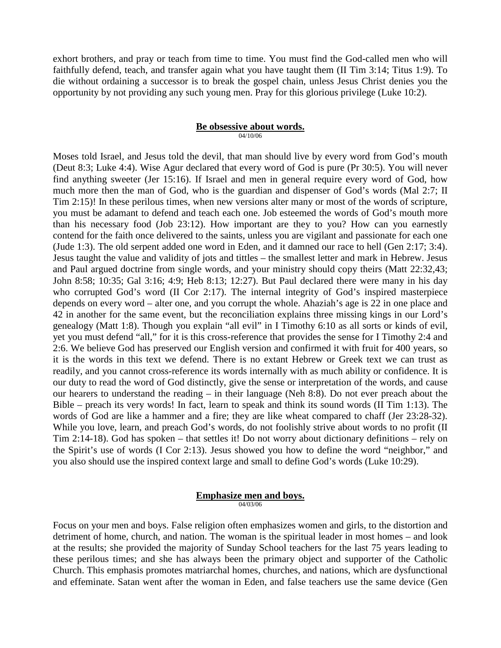exhort brothers, and pray or teach from time to time. You must find the God-called men who will faithfully defend, teach, and transfer again what you have taught them (II Tim 3:14; Titus 1:9). To die without ordaining a successor is to break the gospel chain, unless Jesus Christ denies you the opportunity by not providing any such young men. Pray for this glorious privilege (Luke 10:2).

# **Be obsessive about words.**

04/10/06

Moses told Israel, and Jesus told the devil, that man should live by every word from God's mouth (Deut 8:3; Luke 4:4). Wise Agur declared that every word of God is pure (Pr 30:5). You will never find anything sweeter (Jer 15:16). If Israel and men in general require every word of God, how much more then the man of God, who is the guardian and dispenser of God's words (Mal 2:7; II Tim 2:15)! In these perilous times, when new versions alter many or most of the words of scripture, you must be adamant to defend and teach each one. Job esteemed the words of God's mouth more than his necessary food (Job 23:12). How important are they to you? How can you earnestly contend for the faith once delivered to the saints, unless you are vigilant and passionate for each one (Jude 1:3). The old serpent added one word in Eden, and it damned our race to hell (Gen 2:17; 3:4). Jesus taught the value and validity of jots and tittles – the smallest letter and mark in Hebrew. Jesus and Paul argued doctrine from single words, and your ministry should copy theirs (Matt 22:32,43; John 8:58; 10:35; Gal 3:16; 4:9; Heb 8:13; 12:27). But Paul declared there were many in his day who corrupted God's word (II Cor 2:17). The internal integrity of God's inspired masterpiece depends on every word – alter one, and you corrupt the whole. Ahaziah's age is 22 in one place and 42 in another for the same event, but the reconciliation explains three missing kings in our Lord's genealogy (Matt 1:8). Though you explain "all evil" in I Timothy 6:10 as all sorts or kinds of evil, yet you must defend "all," for it is this cross-reference that provides the sense for I Timothy 2:4 and 2:6. We believe God has preserved our English version and confirmed it with fruit for 400 years, so it is the words in this text we defend. There is no extant Hebrew or Greek text we can trust as readily, and you cannot cross-reference its words internally with as much ability or confidence. It is our duty to read the word of God distinctly, give the sense or interpretation of the words, and cause our hearers to understand the reading – in their language (Neh 8:8). Do not ever preach about the Bible – preach its very words! In fact, learn to speak and think its sound words (II Tim 1:13). The words of God are like a hammer and a fire; they are like wheat compared to chaff (Jer 23:28-32). While you love, learn, and preach God's words, do not foolishly strive about words to no profit (II Tim 2:14-18). God has spoken – that settles it! Do not worry about dictionary definitions – rely on the Spirit's use of words (I Cor 2:13). Jesus showed you how to define the word "neighbor," and you also should use the inspired context large and small to define God's words (Luke 10:29).

#### **Emphasize men and boys.** 04/03/06

Focus on your men and boys. False religion often emphasizes women and girls, to the distortion and detriment of home, church, and nation. The woman is the spiritual leader in most homes – and look at the results; she provided the majority of Sunday School teachers for the last 75 years leading to these perilous times; and she has always been the primary object and supporter of the Catholic Church. This emphasis promotes matriarchal homes, churches, and nations, which are dysfunctional and effeminate. Satan went after the woman in Eden, and false teachers use the same device (Gen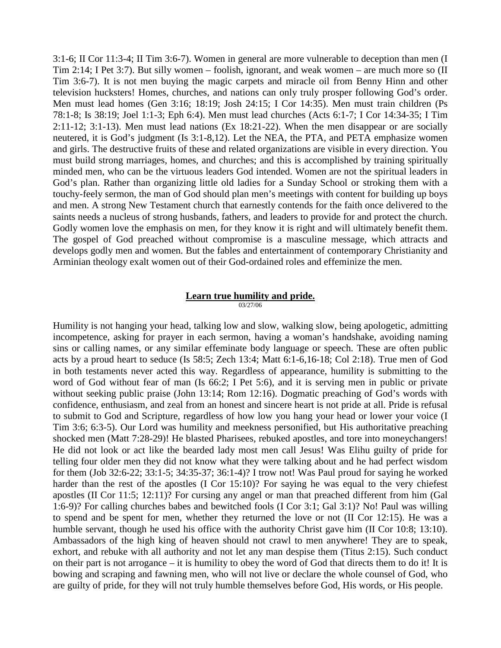3:1-6; II Cor 11:3-4; II Tim 3:6-7). Women in general are more vulnerable to deception than men (I Tim 2:14; I Pet 3:7). But silly women – foolish, ignorant, and weak women – are much more so (II Tim 3:6-7). It is not men buying the magic carpets and miracle oil from Benny Hinn and other television hucksters! Homes, churches, and nations can only truly prosper following God's order. Men must lead homes (Gen 3:16; 18:19; Josh 24:15; I Cor 14:35). Men must train children (Ps 78:1-8; Is 38:19; Joel 1:1-3; Eph 6:4). Men must lead churches (Acts 6:1-7; I Cor 14:34-35; I Tim 2:11-12; 3:1-13). Men must lead nations (Ex 18:21-22). When the men disappear or are socially neutered, it is God's judgment (Is 3:1-8,12). Let the NEA, the PTA, and PETA emphasize women and girls. The destructive fruits of these and related organizations are visible in every direction. You must build strong marriages, homes, and churches; and this is accomplished by training spiritually minded men, who can be the virtuous leaders God intended. Women are not the spiritual leaders in God's plan. Rather than organizing little old ladies for a Sunday School or stroking them with a touchy-feely sermon, the man of God should plan men's meetings with content for building up boys and men. A strong New Testament church that earnestly contends for the faith once delivered to the saints needs a nucleus of strong husbands, fathers, and leaders to provide for and protect the church. Godly women love the emphasis on men, for they know it is right and will ultimately benefit them. The gospel of God preached without compromise is a masculine message, which attracts and develops godly men and women. But the fables and entertainment of contemporary Christianity and Arminian theology exalt women out of their God-ordained roles and effeminize the men.

# **Learn true humility and pride.**

03/27/06

Humility is not hanging your head, talking low and slow, walking slow, being apologetic, admitting incompetence, asking for prayer in each sermon, having a woman's handshake, avoiding naming sins or calling names, or any similar effeminate body language or speech. These are often public acts by a proud heart to seduce (Is 58:5; Zech 13:4; Matt 6:1-6,16-18; Col 2:18). True men of God in both testaments never acted this way. Regardless of appearance, humility is submitting to the word of God without fear of man (Is 66:2; I Pet 5:6), and it is serving men in public or private without seeking public praise (John 13:14; Rom 12:16). Dogmatic preaching of God's words with confidence, enthusiasm, and zeal from an honest and sincere heart is not pride at all. Pride is refusal to submit to God and Scripture, regardless of how low you hang your head or lower your voice (I Tim 3:6; 6:3-5). Our Lord was humility and meekness personified, but His authoritative preaching shocked men (Matt 7:28-29)! He blasted Pharisees, rebuked apostles, and tore into moneychangers! He did not look or act like the bearded lady most men call Jesus! Was Elihu guilty of pride for telling four older men they did not know what they were talking about and he had perfect wisdom for them (Job 32:6-22; 33:1-5; 34:35-37; 36:1-4)? I trow not! Was Paul proud for saying he worked harder than the rest of the apostles (I Cor 15:10)? For saying he was equal to the very chiefest apostles (II Cor 11:5; 12:11)? For cursing any angel or man that preached different from him (Gal 1:6-9)? For calling churches babes and bewitched fools (I Cor 3:1; Gal 3:1)? No! Paul was willing to spend and be spent for men, whether they returned the love or not (II Cor 12:15). He was a humble servant, though he used his office with the authority Christ gave him (II Cor 10:8; 13:10). Ambassadors of the high king of heaven should not crawl to men anywhere! They are to speak, exhort, and rebuke with all authority and not let any man despise them (Titus 2:15). Such conduct on their part is not arrogance – it is humility to obey the word of God that directs them to do it! It is bowing and scraping and fawning men, who will not live or declare the whole counsel of God, who are guilty of pride, for they will not truly humble themselves before God, His words, or His people.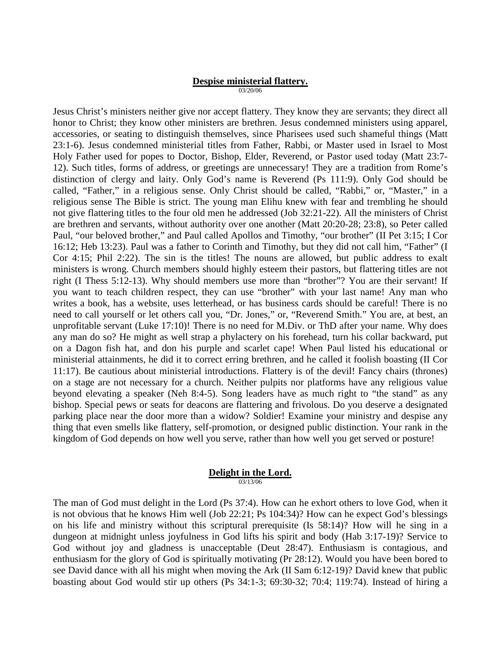#### **Despise ministerial flattery.** 03/20/06

Jesus Christ's ministers neither give nor accept flattery. They know they are servants; they direct all honor to Christ; they know other ministers are brethren. Jesus condemned ministers using apparel, accessories, or seating to distinguish themselves, since Pharisees used such shameful things (Matt 23:1-6). Jesus condemned ministerial titles from Father, Rabbi, or Master used in Israel to Most Holy Father used for popes to Doctor, Bishop, Elder, Reverend, or Pastor used today (Matt 23:7- 12). Such titles, forms of address, or greetings are unnecessary! They are a tradition from Rome's distinction of clergy and laity. Only God's name is Reverend (Ps 111:9). Only God should be called, "Father," in a religious sense. Only Christ should be called, "Rabbi," or, "Master," in a religious sense The Bible is strict. The young man Elihu knew with fear and trembling he should not give flattering titles to the four old men he addressed (Job 32:21-22). All the ministers of Christ are brethren and servants, without authority over one another (Matt 20:20-28; 23:8), so Peter called Paul, "our beloved brother," and Paul called Apollos and Timothy, "our brother" (II Pet 3:15; I Cor 16:12; Heb 13:23). Paul was a father to Corinth and Timothy, but they did not call him, "Father" (I Cor 4:15; Phil 2:22). The sin is the titles! The nouns are allowed, but public address to exalt ministers is wrong. Church members should highly esteem their pastors, but flattering titles are not right (I Thess 5:12-13). Why should members use more than "brother"? You are their servant! If you want to teach children respect, they can use "brother" with your last name! Any man who writes a book, has a website, uses letterhead, or has business cards should be careful! There is no need to call yourself or let others call you, "Dr. Jones," or, "Reverend Smith." You are, at best, an unprofitable servant (Luke 17:10)! There is no need for M.Div. or ThD after your name. Why does any man do so? He might as well strap a phylactery on his forehead, turn his collar backward, put on a Dagon fish hat, and don his purple and scarlet cape! When Paul listed his educational or ministerial attainments, he did it to correct erring brethren, and he called it foolish boasting (II Cor 11:17). Be cautious about ministerial introductions. Flattery is of the devil! Fancy chairs (thrones) on a stage are not necessary for a church. Neither pulpits nor platforms have any religious value beyond elevating a speaker (Neh 8:4-5). Song leaders have as much right to "the stand" as any bishop. Special pews or seats for deacons are flattering and frivolous. Do you deserve a designated parking place near the door more than a widow? Soldier! Examine your ministry and despise any thing that even smells like flattery, self-promotion, or designed public distinction. Your rank in the kingdom of God depends on how well you serve, rather than how well you get served or posture!

#### **Delight in the Lord.** 03/13/06

The man of God must delight in the Lord (Ps 37:4). How can he exhort others to love God, when it is not obvious that he knows Him well (Job 22:21; Ps 104:34)? How can he expect God's blessings on his life and ministry without this scriptural prerequisite (Is 58:14)? How will he sing in a dungeon at midnight unless joyfulness in God lifts his spirit and body (Hab 3:17-19)? Service to God without joy and gladness is unacceptable (Deut 28:47). Enthusiasm is contagious, and enthusiasm for the glory of God is spiritually motivating (Pr 28:12). Would you have been bored to see David dance with all his might when moving the Ark (II Sam 6:12-19)? David knew that public boasting about God would stir up others (Ps 34:1-3; 69:30-32; 70:4; 119:74). Instead of hiring a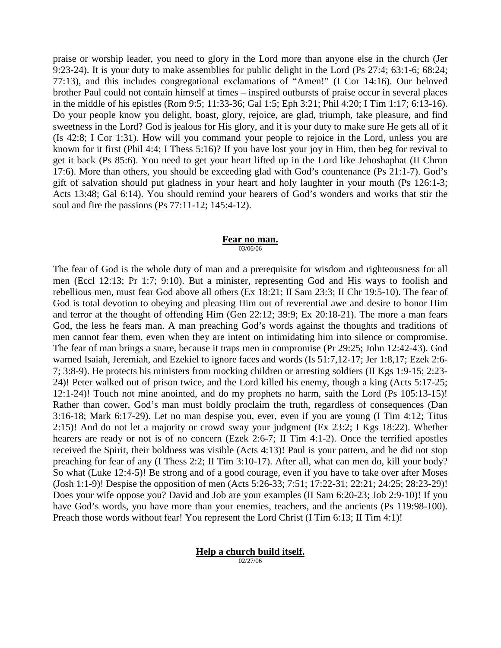praise or worship leader, you need to glory in the Lord more than anyone else in the church (Jer 9:23-24). It is your duty to make assemblies for public delight in the Lord (Ps 27:4; 63:1-6; 68:24; 77:13), and this includes congregational exclamations of "Amen!" (I Cor 14:16). Our beloved brother Paul could not contain himself at times – inspired outbursts of praise occur in several places in the middle of his epistles (Rom 9:5; 11:33-36; Gal 1:5; Eph 3:21; Phil 4:20; I Tim 1:17; 6:13-16). Do your people know you delight, boast, glory, rejoice, are glad, triumph, take pleasure, and find sweetness in the Lord? God is jealous for His glory, and it is your duty to make sure He gets all of it (Is 42:8; I Cor 1:31). How will you command your people to rejoice in the Lord, unless you are known for it first (Phil 4:4; I Thess 5:16)? If you have lost your joy in Him, then beg for revival to get it back (Ps 85:6). You need to get your heart lifted up in the Lord like Jehoshaphat (II Chron 17:6). More than others, you should be exceeding glad with God's countenance (Ps 21:1-7). God's gift of salvation should put gladness in your heart and holy laughter in your mouth (Ps 126:1-3; Acts 13:48; Gal 6:14). You should remind your hearers of God's wonders and works that stir the soul and fire the passions (Ps 77:11-12; 145:4-12).

#### **Fear no man.** 03/06/06

The fear of God is the whole duty of man and a prerequisite for wisdom and righteousness for all men (Eccl 12:13; Pr 1:7; 9:10). But a minister, representing God and His ways to foolish and rebellious men, must fear God above all others (Ex 18:21; II Sam 23:3; II Chr 19:5-10). The fear of God is total devotion to obeying and pleasing Him out of reverential awe and desire to honor Him and terror at the thought of offending Him (Gen 22:12; 39:9; Ex 20:18-21). The more a man fears God, the less he fears man. A man preaching God's words against the thoughts and traditions of men cannot fear them, even when they are intent on intimidating him into silence or compromise. The fear of man brings a snare, because it traps men in compromise (Pr 29:25; John 12:42-43). God warned Isaiah, Jeremiah, and Ezekiel to ignore faces and words (Is 51:7,12-17; Jer 1:8,17; Ezek 2:6- 7; 3:8-9). He protects his ministers from mocking children or arresting soldiers (II Kgs 1:9-15; 2:23- 24)! Peter walked out of prison twice, and the Lord killed his enemy, though a king (Acts 5:17-25; 12:1-24)! Touch not mine anointed, and do my prophets no harm, saith the Lord (Ps 105:13-15)! Rather than cower, God's man must boldly proclaim the truth, regardless of consequences (Dan 3:16-18; Mark 6:17-29). Let no man despise you, ever, even if you are young (I Tim 4:12; Titus 2:15)! And do not let a majority or crowd sway your judgment (Ex 23:2; I Kgs 18:22). Whether hearers are ready or not is of no concern (Ezek 2:6-7; II Tim 4:1-2). Once the terrified apostles received the Spirit, their boldness was visible (Acts 4:13)! Paul is your pattern, and he did not stop preaching for fear of any (I Thess 2:2; II Tim 3:10-17). After all, what can men do, kill your body? So what (Luke 12:4-5)! Be strong and of a good courage, even if you have to take over after Moses (Josh 1:1-9)! Despise the opposition of men (Acts 5:26-33; 7:51; 17:22-31; 22:21; 24:25; 28:23-29)! Does your wife oppose you? David and Job are your examples (II Sam 6:20-23; Job 2:9-10)! If you have God's words, you have more than your enemies, teachers, and the ancients (Ps 119:98-100). Preach those words without fear! You represent the Lord Christ (I Tim 6:13; II Tim 4:1)!

## **Help a church build itself.**

02/27/06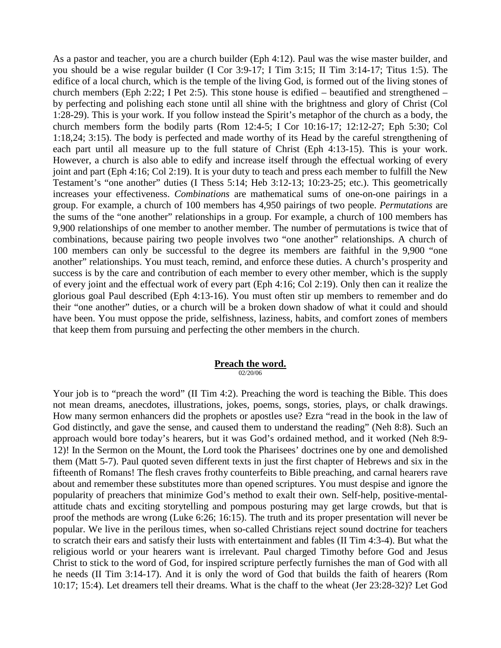As a pastor and teacher, you are a church builder (Eph 4:12). Paul was the wise master builder, and you should be a wise regular builder (I Cor 3:9-17; I Tim 3:15; II Tim 3:14-17; Titus 1:5). The edifice of a local church, which is the temple of the living God, is formed out of the living stones of church members (Eph 2:22; I Pet 2:5). This stone house is edified – beautified and strengthened – by perfecting and polishing each stone until all shine with the brightness and glory of Christ (Col 1:28-29). This is your work. If you follow instead the Spirit's metaphor of the church as a body, the church members form the bodily parts (Rom 12:4-5; I Cor 10:16-17; 12:12-27; Eph 5:30; Col 1:18,24; 3:15). The body is perfected and made worthy of its Head by the careful strengthening of each part until all measure up to the full stature of Christ (Eph 4:13-15). This is your work. However, a church is also able to edify and increase itself through the effectual working of every joint and part (Eph 4:16; Col 2:19). It is your duty to teach and press each member to fulfill the New Testament's "one another" duties (I Thess 5:14; Heb 3:12-13; 10:23-25; etc.). This geometrically increases your effectiveness. *Combinations* are mathematical sums of one-on-one pairings in a group. For example, a church of 100 members has 4,950 pairings of two people. *Permutations* are the sums of the "one another" relationships in a group. For example, a church of 100 members has 9,900 relationships of one member to another member. The number of permutations is twice that of combinations, because pairing two people involves two "one another" relationships. A church of 100 members can only be successful to the degree its members are faithful in the 9,900 "one another" relationships. You must teach, remind, and enforce these duties. A church's prosperity and success is by the care and contribution of each member to every other member, which is the supply of every joint and the effectual work of every part (Eph 4:16; Col 2:19). Only then can it realize the glorious goal Paul described (Eph 4:13-16). You must often stir up members to remember and do their "one another" duties, or a church will be a broken down shadow of what it could and should have been. You must oppose the pride, selfishness, laziness, habits, and comfort zones of members that keep them from pursuing and perfecting the other members in the church.

#### **Preach the word.** 02/20/06

Your job is to "preach the word" (II Tim 4:2). Preaching the word is teaching the Bible. This does not mean dreams, anecdotes, illustrations, jokes, poems, songs, stories, plays, or chalk drawings. How many sermon enhancers did the prophets or apostles use? Ezra "read in the book in the law of God distinctly, and gave the sense, and caused them to understand the reading" (Neh 8:8). Such an approach would bore today's hearers, but it was God's ordained method, and it worked (Neh 8:9- 12)! In the Sermon on the Mount, the Lord took the Pharisees' doctrines one by one and demolished them (Matt 5-7). Paul quoted seven different texts in just the first chapter of Hebrews and six in the fifteenth of Romans! The flesh craves frothy counterfeits to Bible preaching, and carnal hearers rave about and remember these substitutes more than opened scriptures. You must despise and ignore the popularity of preachers that minimize God's method to exalt their own. Self-help, positive-mentalattitude chats and exciting storytelling and pompous posturing may get large crowds, but that is proof the methods are wrong (Luke 6:26; 16:15). The truth and its proper presentation will never be popular. We live in the perilous times, when so-called Christians reject sound doctrine for teachers to scratch their ears and satisfy their lusts with entertainment and fables (II Tim 4:3-4). But what the religious world or your hearers want is irrelevant. Paul charged Timothy before God and Jesus Christ to stick to the word of God, for inspired scripture perfectly furnishes the man of God with all he needs (II Tim 3:14-17). And it is only the word of God that builds the faith of hearers (Rom 10:17; 15:4). Let dreamers tell their dreams. What is the chaff to the wheat (Jer 23:28-32)? Let God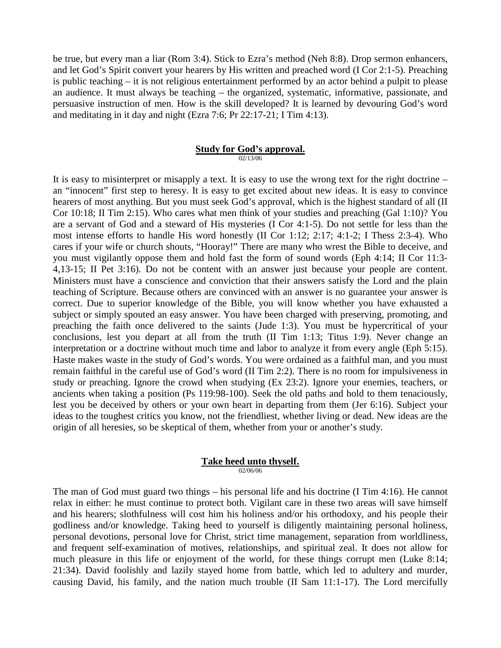be true, but every man a liar (Rom 3:4). Stick to Ezra's method (Neh 8:8). Drop sermon enhancers, and let God's Spirit convert your hearers by His written and preached word (I Cor 2:1-5). Preaching is public teaching – it is not religious entertainment performed by an actor behind a pulpit to please an audience. It must always be teaching – the organized, systematic, informative, passionate, and persuasive instruction of men. How is the skill developed? It is learned by devouring God's word and meditating in it day and night (Ezra 7:6; Pr 22:17-21; I Tim 4:13).

#### **Study for God's approval.** 02/13/06

It is easy to misinterpret or misapply a text. It is easy to use the wrong text for the right doctrine – an "innocent" first step to heresy. It is easy to get excited about new ideas. It is easy to convince hearers of most anything. But you must seek God's approval, which is the highest standard of all (II Cor 10:18; II Tim 2:15). Who cares what men think of your studies and preaching (Gal 1:10)? You are a servant of God and a steward of His mysteries (I Cor 4:1-5). Do not settle for less than the most intense efforts to handle His word honestly (II Cor 1:12; 2:17; 4:1-2; I Thess 2:3-4). Who cares if your wife or church shouts, "Hooray!" There are many who wrest the Bible to deceive, and you must vigilantly oppose them and hold fast the form of sound words (Eph 4:14; II Cor 11:3- 4,13-15; II Pet 3:16). Do not be content with an answer just because your people are content. Ministers must have a conscience and conviction that their answers satisfy the Lord and the plain teaching of Scripture. Because others are convinced with an answer is no guarantee your answer is correct. Due to superior knowledge of the Bible, you will know whether you have exhausted a subject or simply spouted an easy answer. You have been charged with preserving, promoting, and preaching the faith once delivered to the saints (Jude 1:3). You must be hypercritical of your conclusions, lest you depart at all from the truth (II Tim 1:13; Titus 1:9). Never change an interpretation or a doctrine without much time and labor to analyze it from every angle (Eph 5:15). Haste makes waste in the study of God's words. You were ordained as a faithful man, and you must remain faithful in the careful use of God's word (II Tim 2:2). There is no room for impulsiveness in study or preaching. Ignore the crowd when studying (Ex 23:2). Ignore your enemies, teachers, or ancients when taking a position (Ps 119:98-100). Seek the old paths and hold to them tenaciously, lest you be deceived by others or your own heart in departing from them (Jer 6:16). Subject your ideas to the toughest critics you know, not the friendliest, whether living or dead. New ideas are the origin of all heresies, so be skeptical of them, whether from your or another's study.

#### **Take heed unto thyself.** 02/06/06

The man of God must guard two things – his personal life and his doctrine (I Tim 4:16). He cannot relax in either: he must continue to protect both. Vigilant care in these two areas will save himself and his hearers; slothfulness will cost him his holiness and/or his orthodoxy, and his people their godliness and/or knowledge. Taking heed to yourself is diligently maintaining personal holiness, personal devotions, personal love for Christ, strict time management, separation from worldliness, and frequent self-examination of motives, relationships, and spiritual zeal. It does not allow for much pleasure in this life or enjoyment of the world, for these things corrupt men (Luke 8:14; 21:34). David foolishly and lazily stayed home from battle, which led to adultery and murder, causing David, his family, and the nation much trouble (II Sam 11:1-17). The Lord mercifully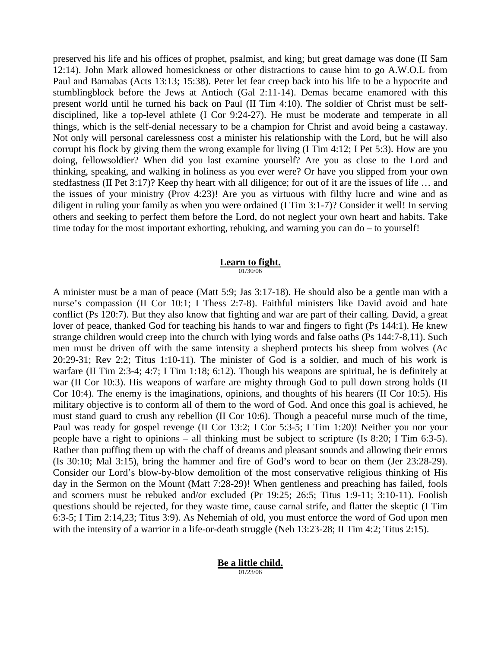preserved his life and his offices of prophet, psalmist, and king; but great damage was done (II Sam 12:14). John Mark allowed homesickness or other distractions to cause him to go A.W.O.L from Paul and Barnabas (Acts 13:13; 15:38). Peter let fear creep back into his life to be a hypocrite and stumblingblock before the Jews at Antioch (Gal 2:11-14). Demas became enamored with this present world until he turned his back on Paul (II Tim 4:10). The soldier of Christ must be selfdisciplined, like a top-level athlete (I Cor 9:24-27). He must be moderate and temperate in all things, which is the self-denial necessary to be a champion for Christ and avoid being a castaway. Not only will personal carelessness cost a minister his relationship with the Lord, but he will also corrupt his flock by giving them the wrong example for living (I Tim 4:12; I Pet 5:3). How are you doing, fellowsoldier? When did you last examine yourself? Are you as close to the Lord and thinking, speaking, and walking in holiness as you ever were? Or have you slipped from your own stedfastness (II Pet 3:17)? Keep thy heart with all diligence; for out of it are the issues of life … and the issues of your ministry (Prov 4:23)! Are you as virtuous with filthy lucre and wine and as diligent in ruling your family as when you were ordained (I Tim 3:1-7)? Consider it well! In serving others and seeking to perfect them before the Lord, do not neglect your own heart and habits. Take time today for the most important exhorting, rebuking, and warning you can do – to yourself!

# **Learn to fight.**

01/30/06

A minister must be a man of peace (Matt 5:9; Jas 3:17-18). He should also be a gentle man with a nurse's compassion (II Cor 10:1; I Thess 2:7-8). Faithful ministers like David avoid and hate conflict (Ps 120:7). But they also know that fighting and war are part of their calling. David, a great lover of peace, thanked God for teaching his hands to war and fingers to fight (Ps 144:1). He knew strange children would creep into the church with lying words and false oaths (Ps 144:7-8,11). Such men must be driven off with the same intensity a shepherd protects his sheep from wolves (Ac 20:29-31; Rev 2:2; Titus 1:10-11). The minister of God is a soldier, and much of his work is warfare (II Tim 2:3-4; 4:7; I Tim 1:18; 6:12). Though his weapons are spiritual, he is definitely at war (II Cor 10:3). His weapons of warfare are mighty through God to pull down strong holds (II Cor 10:4). The enemy is the imaginations, opinions, and thoughts of his hearers (II Cor 10:5). His military objective is to conform all of them to the word of God. And once this goal is achieved, he must stand guard to crush any rebellion (II Cor 10:6). Though a peaceful nurse much of the time, Paul was ready for gospel revenge (II Cor 13:2; I Cor 5:3-5; I Tim 1:20)! Neither you nor your people have a right to opinions – all thinking must be subject to scripture (Is 8:20; I Tim 6:3-5). Rather than puffing them up with the chaff of dreams and pleasant sounds and allowing their errors (Is 30:10; Mal 3:15), bring the hammer and fire of God's word to bear on them (Jer 23:28-29). Consider our Lord's blow-by-blow demolition of the most conservative religious thinking of His day in the Sermon on the Mount (Matt 7:28-29)! When gentleness and preaching has failed, fools and scorners must be rebuked and/or excluded (Pr 19:25; 26:5; Titus 1:9-11; 3:10-11). Foolish questions should be rejected, for they waste time, cause carnal strife, and flatter the skeptic (I Tim 6:3-5; I Tim 2:14,23; Titus 3:9). As Nehemiah of old, you must enforce the word of God upon men with the intensity of a warrior in a life-or-death struggle (Neh 13:23-28; II Tim 4:2; Titus 2:15).

#### **Be a little child.** 01/23/06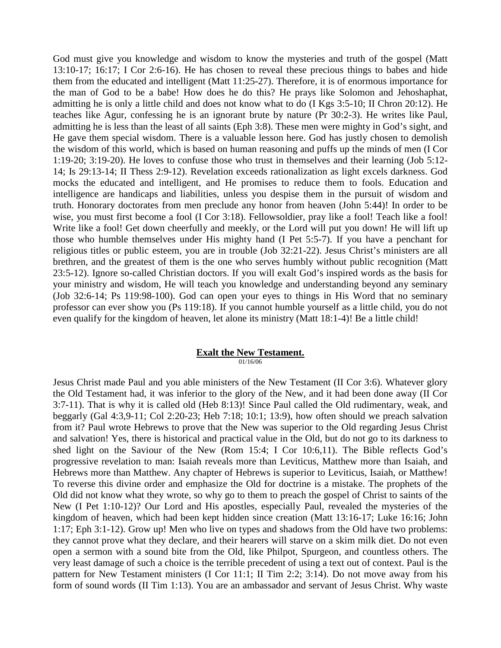God must give you knowledge and wisdom to know the mysteries and truth of the gospel (Matt 13:10-17; 16:17; I Cor 2:6-16). He has chosen to reveal these precious things to babes and hide them from the educated and intelligent (Matt 11:25-27). Therefore, it is of enormous importance for the man of God to be a babe! How does he do this? He prays like Solomon and Jehoshaphat, admitting he is only a little child and does not know what to do (I Kgs 3:5-10; II Chron 20:12). He teaches like Agur, confessing he is an ignorant brute by nature (Pr 30:2-3). He writes like Paul, admitting he is less than the least of all saints (Eph 3:8). These men were mighty in God's sight, and He gave them special wisdom. There is a valuable lesson here. God has justly chosen to demolish the wisdom of this world, which is based on human reasoning and puffs up the minds of men (I Cor 1:19-20; 3:19-20). He loves to confuse those who trust in themselves and their learning (Job 5:12- 14; Is 29:13-14; II Thess 2:9-12). Revelation exceeds rationalization as light excels darkness. God mocks the educated and intelligent, and He promises to reduce them to fools. Education and intelligence are handicaps and liabilities, unless you despise them in the pursuit of wisdom and truth. Honorary doctorates from men preclude any honor from heaven (John 5:44)! In order to be wise, you must first become a fool (I Cor 3:18). Fellowsoldier, pray like a fool! Teach like a fool! Write like a fool! Get down cheerfully and meekly, or the Lord will put you down! He will lift up those who humble themselves under His mighty hand (I Pet 5:5-7). If you have a penchant for religious titles or public esteem, you are in trouble (Job 32:21-22). Jesus Christ's ministers are all brethren, and the greatest of them is the one who serves humbly without public recognition (Matt 23:5-12). Ignore so-called Christian doctors. If you will exalt God's inspired words as the basis for your ministry and wisdom, He will teach you knowledge and understanding beyond any seminary (Job 32:6-14; Ps 119:98-100). God can open your eyes to things in His Word that no seminary professor can ever show you (Ps 119:18). If you cannot humble yourself as a little child, you do not even qualify for the kingdom of heaven, let alone its ministry (Matt 18:1-4)! Be a little child!

#### **Exalt the New Testament.** 01/16/06

Jesus Christ made Paul and you able ministers of the New Testament (II Cor 3:6). Whatever glory the Old Testament had, it was inferior to the glory of the New, and it had been done away (II Cor 3:7-11). That is why it is called old (Heb 8:13)! Since Paul called the Old rudimentary, weak, and beggarly (Gal 4:3,9-11; Col 2:20-23; Heb 7:18; 10:1; 13:9), how often should we preach salvation from it? Paul wrote Hebrews to prove that the New was superior to the Old regarding Jesus Christ and salvation! Yes, there is historical and practical value in the Old, but do not go to its darkness to shed light on the Saviour of the New (Rom 15:4; I Cor 10:6,11). The Bible reflects God's progressive revelation to man: Isaiah reveals more than Leviticus, Matthew more than Isaiah, and Hebrews more than Matthew. Any chapter of Hebrews is superior to Leviticus, Isaiah, or Matthew! To reverse this divine order and emphasize the Old for doctrine is a mistake. The prophets of the Old did not know what they wrote, so why go to them to preach the gospel of Christ to saints of the New (I Pet 1:10-12)? Our Lord and His apostles, especially Paul, revealed the mysteries of the kingdom of heaven, which had been kept hidden since creation (Matt 13:16-17; Luke 16:16; John 1:17; Eph 3:1-12). Grow up! Men who live on types and shadows from the Old have two problems: they cannot prove what they declare, and their hearers will starve on a skim milk diet. Do not even open a sermon with a sound bite from the Old, like Philpot, Spurgeon, and countless others. The very least damage of such a choice is the terrible precedent of using a text out of context. Paul is the pattern for New Testament ministers (I Cor 11:1; II Tim 2:2; 3:14). Do not move away from his form of sound words (II Tim 1:13). You are an ambassador and servant of Jesus Christ. Why waste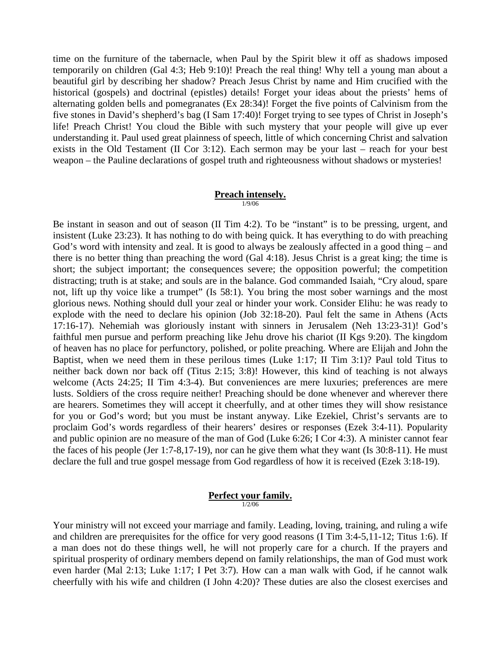time on the furniture of the tabernacle, when Paul by the Spirit blew it off as shadows imposed temporarily on children (Gal 4:3; Heb 9:10)! Preach the real thing! Why tell a young man about a beautiful girl by describing her shadow? Preach Jesus Christ by name and Him crucified with the historical (gospels) and doctrinal (epistles) details! Forget your ideas about the priests' hems of alternating golden bells and pomegranates (Ex 28:34)! Forget the five points of Calvinism from the five stones in David's shepherd's bag (I Sam 17:40)! Forget trying to see types of Christ in Joseph's life! Preach Christ! You cloud the Bible with such mystery that your people will give up ever understanding it. Paul used great plainness of speech, little of which concerning Christ and salvation exists in the Old Testament (II Cor 3:12). Each sermon may be your last – reach for your best weapon – the Pauline declarations of gospel truth and righteousness without shadows or mysteries!

#### **Preach intensely.** 1/9/06

Be instant in season and out of season (II Tim 4:2). To be "instant" is to be pressing, urgent, and insistent (Luke 23:23). It has nothing to do with being quick. It has everything to do with preaching God's word with intensity and zeal. It is good to always be zealously affected in a good thing – and there is no better thing than preaching the word (Gal 4:18). Jesus Christ is a great king; the time is short; the subject important; the consequences severe; the opposition powerful; the competition distracting; truth is at stake; and souls are in the balance. God commanded Isaiah, "Cry aloud, spare not, lift up thy voice like a trumpet" (Is 58:1). You bring the most sober warnings and the most glorious news. Nothing should dull your zeal or hinder your work. Consider Elihu: he was ready to explode with the need to declare his opinion (Job 32:18-20). Paul felt the same in Athens (Acts 17:16-17). Nehemiah was gloriously instant with sinners in Jerusalem (Neh 13:23-31)! God's faithful men pursue and perform preaching like Jehu drove his chariot (II Kgs 9:20). The kingdom of heaven has no place for perfunctory, polished, or polite preaching. Where are Elijah and John the Baptist, when we need them in these perilous times (Luke 1:17; II Tim 3:1)? Paul told Titus to neither back down nor back off (Titus 2:15; 3:8)! However, this kind of teaching is not always welcome (Acts 24:25; II Tim 4:3-4). But conveniences are mere luxuries; preferences are mere lusts. Soldiers of the cross require neither! Preaching should be done whenever and wherever there are hearers. Sometimes they will accept it cheerfully, and at other times they will show resistance for you or God's word; but you must be instant anyway. Like Ezekiel, Christ's servants are to proclaim God's words regardless of their hearers' desires or responses (Ezek 3:4-11). Popularity and public opinion are no measure of the man of God (Luke 6:26; I Cor 4:3). A minister cannot fear the faces of his people (Jer 1:7-8,17-19), nor can he give them what they want (Is 30:8-11). He must declare the full and true gospel message from God regardless of how it is received (Ezek 3:18-19).

#### **Perfect your family.**  $1/2/06$

Your ministry will not exceed your marriage and family. Leading, loving, training, and ruling a wife and children are prerequisites for the office for very good reasons (I Tim 3:4-5,11-12; Titus 1:6). If a man does not do these things well, he will not properly care for a church. If the prayers and spiritual prosperity of ordinary members depend on family relationships, the man of God must work even harder (Mal 2:13; Luke 1:17; I Pet 3:7). How can a man walk with God, if he cannot walk cheerfully with his wife and children (I John 4:20)? These duties are also the closest exercises and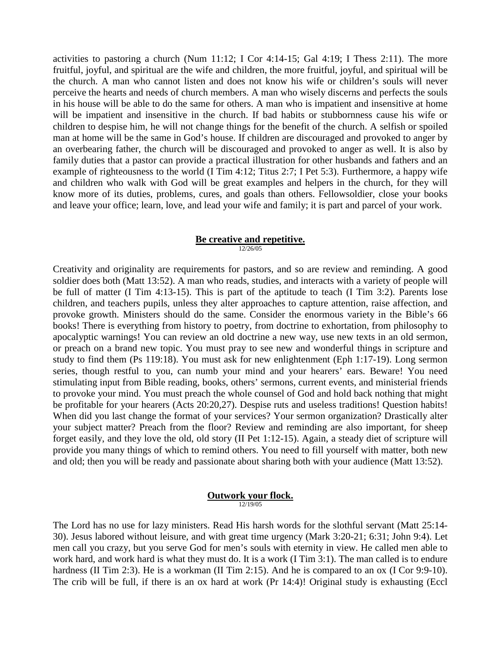activities to pastoring a church (Num  $11:12$ ; I Cor  $4:14-15$ ; Gal  $4:19$ ; I Thess  $2:11$ ). The more fruitful, joyful, and spiritual are the wife and children, the more fruitful, joyful, and spiritual will be the church. A man who cannot listen and does not know his wife or children's souls will never perceive the hearts and needs of church members. A man who wisely discerns and perfects the souls in his house will be able to do the same for others. A man who is impatient and insensitive at home will be impatient and insensitive in the church. If bad habits or stubbornness cause his wife or children to despise him, he will not change things for the benefit of the church. A selfish or spoiled man at home will be the same in God's house. If children are discouraged and provoked to anger by an overbearing father, the church will be discouraged and provoked to anger as well. It is also by family duties that a pastor can provide a practical illustration for other husbands and fathers and an example of righteousness to the world (I Tim 4:12; Titus 2:7; I Pet 5:3). Furthermore, a happy wife and children who walk with God will be great examples and helpers in the church, for they will know more of its duties, problems, cures, and goals than others. Fellowsoldier, close your books and leave your office; learn, love, and lead your wife and family; it is part and parcel of your work.

# **Be creative and repetitive.**

12/26/05

Creativity and originality are requirements for pastors, and so are review and reminding. A good soldier does both (Matt 13:52). A man who reads, studies, and interacts with a variety of people will be full of matter (I Tim 4:13-15). This is part of the aptitude to teach (I Tim 3:2). Parents lose children, and teachers pupils, unless they alter approaches to capture attention, raise affection, and provoke growth. Ministers should do the same. Consider the enormous variety in the Bible's 66 books! There is everything from history to poetry, from doctrine to exhortation, from philosophy to apocalyptic warnings! You can review an old doctrine a new way, use new texts in an old sermon, or preach on a brand new topic. You must pray to see new and wonderful things in scripture and study to find them (Ps 119:18). You must ask for new enlightenment (Eph 1:17-19). Long sermon series, though restful to you, can numb your mind and your hearers' ears. Beware! You need stimulating input from Bible reading, books, others' sermons, current events, and ministerial friends to provoke your mind. You must preach the whole counsel of God and hold back nothing that might be profitable for your hearers (Acts 20:20,27). Despise ruts and useless traditions! Question habits! When did you last change the format of your services? Your sermon organization? Drastically alter your subject matter? Preach from the floor? Review and reminding are also important, for sheep forget easily, and they love the old, old story (II Pet 1:12-15). Again, a steady diet of scripture will provide you many things of which to remind others. You need to fill yourself with matter, both new and old; then you will be ready and passionate about sharing both with your audience (Matt 13:52).

#### **Outwork your flock.** 12/19/05

The Lord has no use for lazy ministers. Read His harsh words for the slothful servant (Matt 25:14- 30). Jesus labored without leisure, and with great time urgency (Mark 3:20-21; 6:31; John 9:4). Let men call you crazy, but you serve God for men's souls with eternity in view. He called men able to work hard, and work hard is what they must do. It is a work (I Tim 3:1). The man called is to endure hardness (II Tim 2:3). He is a workman (II Tim 2:15). And he is compared to an ox (I Cor 9:9-10). The crib will be full, if there is an ox hard at work (Pr 14:4)! Original study is exhausting (Eccl